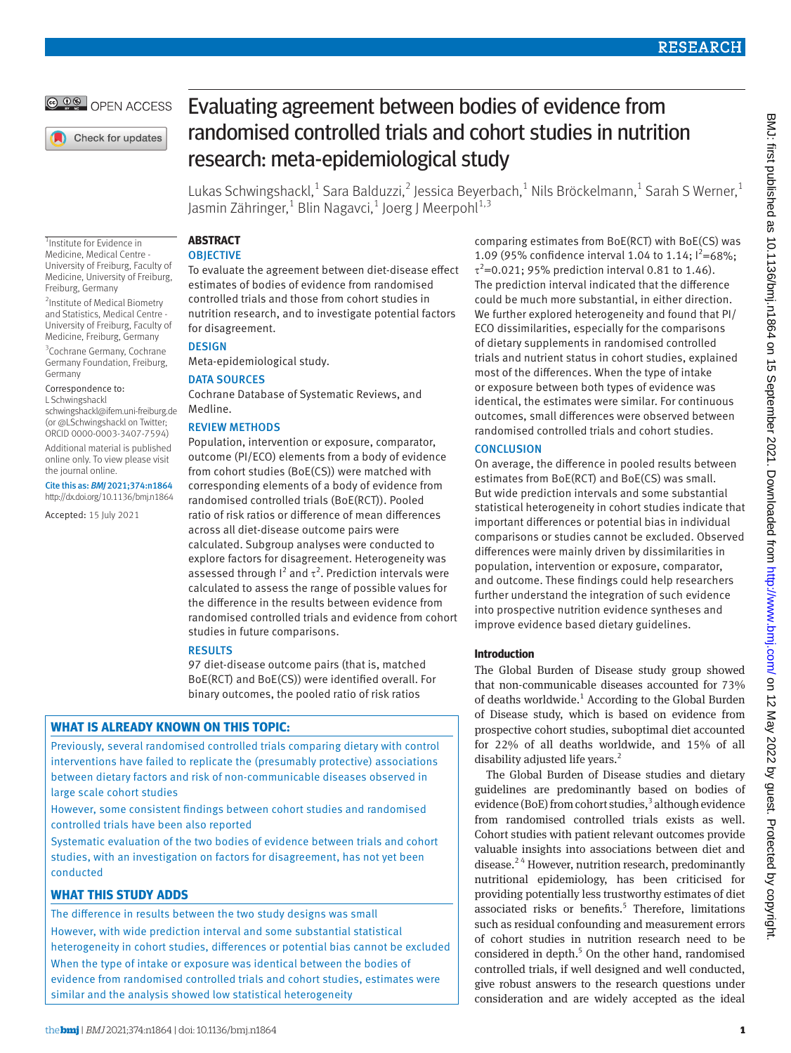

Check for updates

# Evaluating agreement between bodies of evidence from randomised controlled trials and cohort studies in nutrition research: meta-epidemiological study

Lukas Schwingshackl, $^1$  Sara Balduzzi, $^2$  Jessica Beyerbach, $^1$  Nils Bröckelmann, $^1$  Sarah S Werner, $^1$ Jasmin Zähringer, $^1$  Blin Nagavci, $^1$  Joerg J Meerpohl $^{1,3}$ 

1 Institute for Evidence in Medicine, Medical Centre - University of Freiburg, Faculty of Medicine, University of Freiburg, Freiburg, Germany

<sup>2</sup>Institute of Medical Biometry and Statistics, Medical Centre - University of Freiburg, Faculty of Medicine, Freiburg, Germany

3 Cochrane Germany, Cochrane Germany Foundation, Freiburg, Germany

#### Correspondence to:

L Schwingshackl

[schwingshackl@ifem.uni-freiburg.de](mailto:schwingshackl@ifem.uni-freiburg.de)  (or [@LSchwingshackl](https://twitter.com/LSchwingshackl) on Twitter; ORCID [0000-0003-3407-7594](https://orcid.org/0000-0003-3407-7594))

Additional material is published online only. To view please visit the journal online.

#### Cite this as: *BMJ* 2021;374:n1864 http://dx.doi.org/10.1136/bmj.n1864

Accepted: 15 July 2021

# **ABSTRACT**

# **OBJECTIVE**

To evaluate the agreement between diet-disease effect estimates of bodies of evidence from randomised controlled trials and those from cohort studies in nutrition research, and to investigate potential factors for disagreement.

**DESIGN** 

Meta-epidemiological study.

# DATA SOURCES

Cochrane Database of Systematic Reviews, and Medline.

# REVIEW METHODS

Population, intervention or exposure, comparator, outcome (PI/ECO) elements from a body of evidence from cohort studies (BoE(CS)) were matched with corresponding elements of a body of evidence from randomised controlled trials (BoE(RCT)). Pooled ratio of risk ratios or difference of mean differences across all diet-disease outcome pairs were calculated. Subgroup analyses were conducted to explore factors for disagreement. Heterogeneity was assessed through  $I^2$  and  $\tau^2$ . Prediction intervals were calculated to assess the range of possible values for the difference in the results between evidence from randomised controlled trials and evidence from cohort studies in future comparisons.

# RESULTS

97 diet-disease outcome pairs (that is, matched BoE(RCT) and BoE(CS)) were identified overall. For binary outcomes, the pooled ratio of risk ratios

# **WHAT IS ALREADY KNOWN ON THIS TOPIC:**

Previously, several randomised controlled trials comparing dietary with control interventions have failed to replicate the (presumably protective) associations between dietary factors and risk of non-communicable diseases observed in large scale cohort studies

However, some consistent findings between cohort studies and randomised controlled trials have been also reported

Systematic evaluation of the two bodies of evidence between trials and cohort studies, with an investigation on factors for disagreement, has not yet been conducted

# **WHAT THIS STUDY ADDS**

The difference in results between the two study designs was small However, with wide prediction interval and some substantial statistical heterogeneity in cohort studies, differences or potential bias cannot be excluded When the type of intake or exposure was identical between the bodies of evidence from randomised controlled trials and cohort studies, estimates were similar and the analysis showed low statistical heterogeneity

comparing estimates from BoE(RCT) with BoE(CS) was 1.09 (95% confidence interval 1.04 to 1.14;  $I^2 = 68\%$ ;  $τ<sup>2</sup>=0.021$ ; 95% prediction interval 0.81 to 1.46). The prediction interval indicated that the difference could be much more substantial, in either direction. We further explored heterogeneity and found that PI/ ECO dissimilarities, especially for the comparisons of dietary supplements in randomised controlled trials and nutrient status in cohort studies, explained most of the differences. When the type of intake or exposure between both types of evidence was identical, the estimates were similar. For continuous outcomes, small differences were observed between randomised controlled trials and cohort studies.

# **CONCLUSION**

On average, the difference in pooled results between estimates from BoE(RCT) and BoE(CS) was small. But wide prediction intervals and some substantial statistical heterogeneity in cohort studies indicate that important differences or potential bias in individual comparisons or studies cannot be excluded. Observed differences were mainly driven by dissimilarities in population, intervention or exposure, comparator, and outcome. These findings could help researchers further understand the integration of such evidence into prospective nutrition evidence syntheses and improve evidence based dietary guidelines.

# **Introduction**

The Global Burden of Disease study group showed that non-communicable diseases accounted for 73% of deaths worldwide.<sup>1</sup> According to the Global Burden of Disease study, which is based on evidence from prospective cohort studies, suboptimal diet accounted for 22% of all deaths worldwide, and 15% of all disability adjusted life years.<sup>2</sup>

The Global Burden of Disease studies and dietary guidelines are predominantly based on bodies of evidence (BoE) from cohort studies,<sup>3</sup> although evidence from randomised controlled trials exists as well. Cohort studies with patient relevant outcomes provide valuable insights into associations between diet and disease.<sup>24</sup> However, nutrition research, predominantly nutritional epidemiology, has been criticised for providing potentially less trustworthy estimates of diet associated risks or benefits.<sup>5</sup> Therefore, limitations such as residual confounding and measurement errors of cohort studies in nutrition research need to be considered in depth.<sup>5</sup> On the other hand, randomised controlled trials, if well designed and well conducted, give robust answers to the research questions under consideration and are widely accepted as the ideal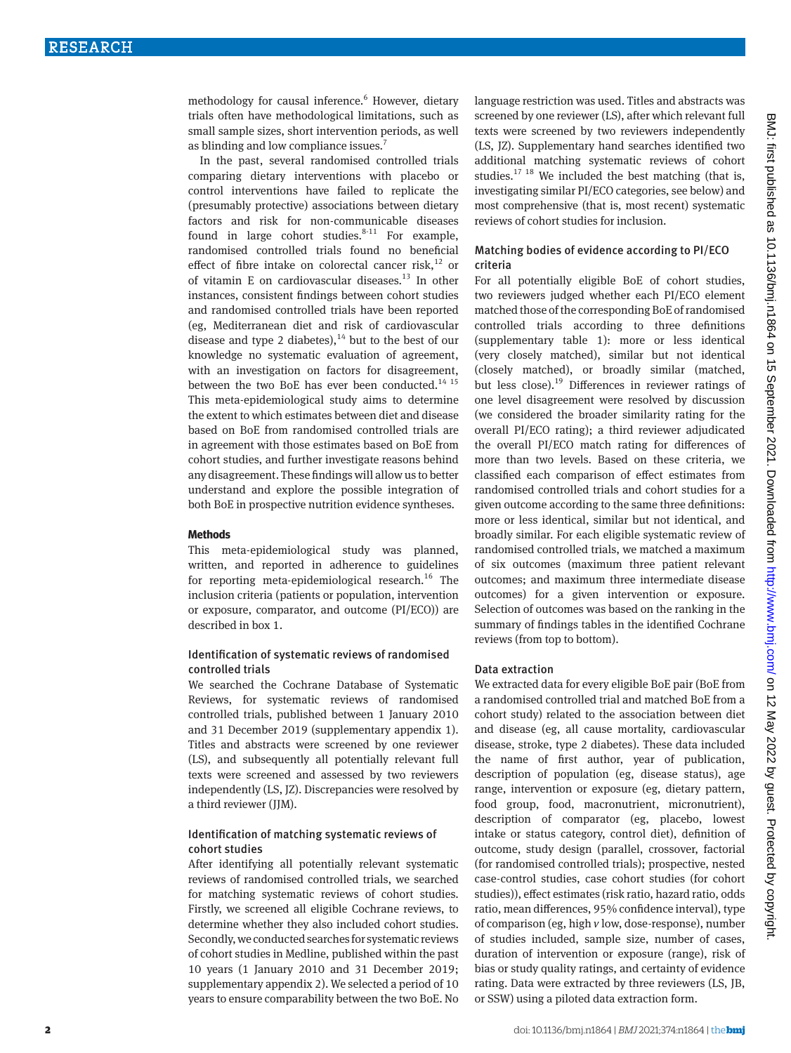methodology for causal inference.<sup>6</sup> However, dietary trials often have methodological limitations, such as small sample sizes, short intervention periods, as well as blinding and low compliance issues.<sup>7</sup>

In the past, several randomised controlled trials comparing dietary interventions with placebo or control interventions have failed to replicate the (presumably protective) associations between dietary factors and risk for non-communicable diseases found in large cohort studies. $8-11$  For example, randomised controlled trials found no beneficial effect of fibre intake on colorectal cancer risk, $^{12}$  or of vitamin E on cardiovascular diseases.<sup>13</sup> In other instances, consistent findings between cohort studies and randomised controlled trials have been reported (eg, Mediterranean diet and risk of cardiovascular disease and type 2 diabetes),  $14$  but to the best of our knowledge no systematic evaluation of agreement, with an investigation on factors for disagreement, between the two BoE has ever been conducted.<sup>14 15</sup> This meta-epidemiological study aims to determine the extent to which estimates between diet and disease based on BoE from randomised controlled trials are in agreement with those estimates based on BoE from cohort studies, and further investigate reasons behind any disagreement. These findings will allow us to better understand and explore the possible integration of both BoE in prospective nutrition evidence syntheses.

#### **Methods**

This meta-epidemiological study was planned, written, and reported in adherence to guidelines for reporting meta-epidemiological research.<sup>16</sup> The inclusion criteria (patients or population, intervention or exposure, comparator, and outcome (PI/ECO)) are described in box 1.

#### Identification of systematic reviews of randomised controlled trials

We searched the Cochrane Database of Systematic Reviews, for systematic reviews of randomised controlled trials, published between 1 January 2010 and 31 December 2019 (supplementary appendix 1). Titles and abstracts were screened by one reviewer (LS), and subsequently all potentially relevant full texts were screened and assessed by two reviewers independently (LS, JZ). Discrepancies were resolved by a third reviewer (JJM).

# Identification of matching systematic reviews of cohort studies

After identifying all potentially relevant systematic reviews of randomised controlled trials, we searched for matching systematic reviews of cohort studies. Firstly, we screened all eligible Cochrane reviews, to determine whether they also included cohort studies. Secondly, we conducted searches for systematic reviews of cohort studies in Medline, published within the past 10 years (1 January 2010 and 31 December 2019; supplementary appendix 2). We selected a period of 10 years to ensure comparability between the two BoE. No

language restriction was used. Titles and abstracts was screened by one reviewer (LS), after which relevant full texts were screened by two reviewers independently (LS, JZ). Supplementary hand searches identified two additional matching systematic reviews of cohort studies.<sup>17 18</sup> We included the best matching (that is, investigating similar PI/ECO categories, see below) and most comprehensive (that is, most recent) systematic reviews of cohort studies for inclusion.

# Matching bodies of evidence according to PI/ECO criteria

For all potentially eligible BoE of cohort studies, two reviewers judged whether each PI/ECO element matched those of the corresponding BoE of randomised controlled trials according to three definitions (supplementary table 1): more or less identical (very closely matched), similar but not identical (closely matched), or broadly similar (matched, but less close).<sup>19</sup> Differences in reviewer ratings of one level disagreement were resolved by discussion (we considered the broader similarity rating for the overall PI/ECO rating); a third reviewer adjudicated the overall PI/ECO match rating for differences of more than two levels. Based on these criteria, we classified each comparison of effect estimates from randomised controlled trials and cohort studies for a given outcome according to the same three definitions: more or less identical, similar but not identical, and broadly similar. For each eligible systematic review of randomised controlled trials, we matched a maximum of six outcomes (maximum three patient relevant outcomes; and maximum three intermediate disease outcomes) for a given intervention or exposure. Selection of outcomes was based on the ranking in the summary of findings tables in the identified Cochrane reviews (from top to bottom).

#### Data extraction

We extracted data for every eligible BoE pair (BoE from a randomised controlled trial and matched BoE from a cohort study) related to the association between diet and disease (eg, all cause mortality, cardiovascular disease, stroke, type 2 diabetes). These data included the name of first author, year of publication, description of population (eg, disease status), age range, intervention or exposure (eg, dietary pattern, food group, food, macronutrient, micronutrient), description of comparator (eg, placebo, lowest intake or status category, control diet), definition of outcome, study design (parallel, crossover, factorial (for randomised controlled trials); prospective, nested case-control studies, case cohort studies (for cohort studies)), effect estimates (risk ratio, hazard ratio, odds ratio, mean differences, 95% confidence interval), type of comparison (eg, high *v* low, dose-response), number of studies included, sample size, number of cases, duration of intervention or exposure (range), risk of bias or study quality ratings, and certainty of evidence rating. Data were extracted by three reviewers (LS, JB, or SSW) using a piloted data extraction form.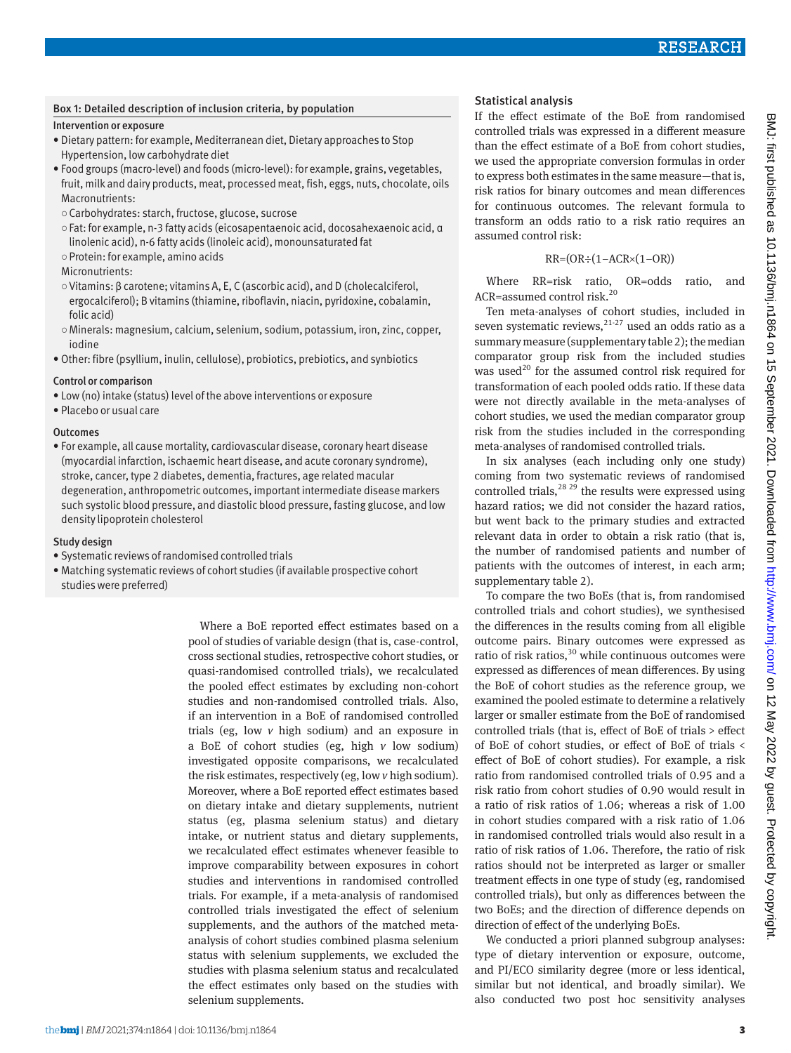## Box 1: Detailed description of inclusion criteria, by population

# Intervention or exposure

- Dietary pattern: for example, Mediterranean diet, Dietary approaches to Stop Hypertension, low carbohydrate diet
- Food groups (macro-level) and foods (micro-level): for example, grains, vegetables, fruit, milk and dairy products, meat, processed meat, fish, eggs, nuts, chocolate, oils Macronutrients:
- ○Carbohydrates: starch, fructose, glucose, sucrose
- ○Fat: for example, n-3 fatty acids (eicosapentaenoic acid, docosahexaenoic acid, α linolenic acid), n-6 fatty acids (linoleic acid), monounsaturated fat
- ○Protein: for example, amino acids

## Micronutrients:

- ○Vitamins: β carotene; vitamins A, E, C (ascorbic acid), and D (cholecalciferol, ergocalciferol); B vitamins (thiamine, riboflavin, niacin, pyridoxine, cobalamin, folic acid)
- ○Minerals: magnesium, calcium, selenium, sodium, potassium, iron, zinc, copper, iodine
- Other: fibre (psyllium, inulin, cellulose), probiotics, prebiotics, and synbiotics

## Control or comparison

- Low (no) intake (status) level of the above interventions or exposure
- Placebo or usual care

## Outcomes

• For example, all cause mortality, cardiovascular disease, coronary heart disease (myocardial infarction, ischaemic heart disease, and acute coronary syndrome), stroke, cancer, type 2 diabetes, dementia, fractures, age related macular degeneration, anthropometric outcomes, important intermediate disease markers such systolic blood pressure, and diastolic blood pressure, fasting glucose, and low density lipoprotein cholesterol

#### Study design

- Systematic reviews of randomised controlled trials
- Matching systematic reviews of cohort studies (if available prospective cohort studies were preferred)

Where a BoE reported effect estimates based on a pool of studies of variable design (that is, case-control, cross sectional studies, retrospective cohort studies, or quasi-randomised controlled trials), we recalculated the pooled effect estimates by excluding non-cohort studies and non-randomised controlled trials. Also, if an intervention in a BoE of randomised controlled trials (eg, low *v* high sodium) and an exposure in a BoE of cohort studies (eg, high *v* low sodium) investigated opposite comparisons, we recalculated the risk estimates, respectively (eg, low *v* high sodium). Moreover, where a BoE reported effect estimates based on dietary intake and dietary supplements, nutrient status (eg, plasma selenium status) and dietary intake, or nutrient status and dietary supplements, we recalculated effect estimates whenever feasible to improve comparability between exposures in cohort studies and interventions in randomised controlled trials. For example, if a meta-analysis of randomised controlled trials investigated the effect of selenium supplements, and the authors of the matched metaanalysis of cohort studies combined plasma selenium status with selenium supplements, we excluded the studies with plasma selenium status and recalculated the effect estimates only based on the studies with selenium supplements.

# Statistical analysis

# If the effect estimate of the BoE from randomised controlled trials was expressed in a different measure than the effect estimate of a BoE from cohort studies, we used the appropriate conversion formulas in order to express both estimates in the same measure—that is, risk ratios for binary outcomes and mean differences for continuous outcomes. The relevant formula to transform an odds ratio to a risk ratio requires an assumed control risk:

$$
RR = (OR \div (1 - ACK \times (1 - OR))
$$

Where RR=risk ratio, OR=odds ratio, and ACR=assumed control risk. $20$ 

Ten meta-analyses of cohort studies, included in seven systematic reviews,  $21-27$  used an odds ratio as a summary measure (supplementary table 2); the median comparator group risk from the included studies was used<sup>20</sup> for the assumed control risk required for transformation of each pooled odds ratio. If these data were not directly available in the meta-analyses of cohort studies, we used the median comparator group risk from the studies included in the corresponding meta-analyses of randomised controlled trials.

In six analyses (each including only one study) coming from two systematic reviews of randomised controlled trials,<sup>28 29</sup> the results were expressed using hazard ratios; we did not consider the hazard ratios, but went back to the primary studies and extracted relevant data in order to obtain a risk ratio (that is, the number of randomised patients and number of patients with the outcomes of interest, in each arm; supplementary table 2).

To compare the two BoEs (that is, from randomised controlled trials and cohort studies), we synthesised the differences in the results coming from all eligible outcome pairs. Binary outcomes were expressed as ratio of risk ratios,  $30$  while continuous outcomes were expressed as differences of mean differences. By using the BoE of cohort studies as the reference group, we examined the pooled estimate to determine a relatively larger or smaller estimate from the BoE of randomised controlled trials (that is, effect of BoE of trials > effect of BoE of cohort studies, or effect of BoE of trials < effect of BoE of cohort studies). For example, a risk ratio from randomised controlled trials of 0.95 and a risk ratio from cohort studies of 0.90 would result in a ratio of risk ratios of 1.06; whereas a risk of 1.00 in cohort studies compared with a risk ratio of 1.06 in randomised controlled trials would also result in a ratio of risk ratios of 1.06. Therefore, the ratio of risk ratios should not be interpreted as larger or smaller treatment effects in one type of study (eg, randomised controlled trials), but only as differences between the two BoEs; and the direction of difference depends on direction of effect of the underlying BoEs.

We conducted a priori planned subgroup analyses: type of dietary intervention or exposure, outcome, and PI/ECO similarity degree (more or less identical, similar but not identical, and broadly similar). We also conducted two post hoc sensitivity analyses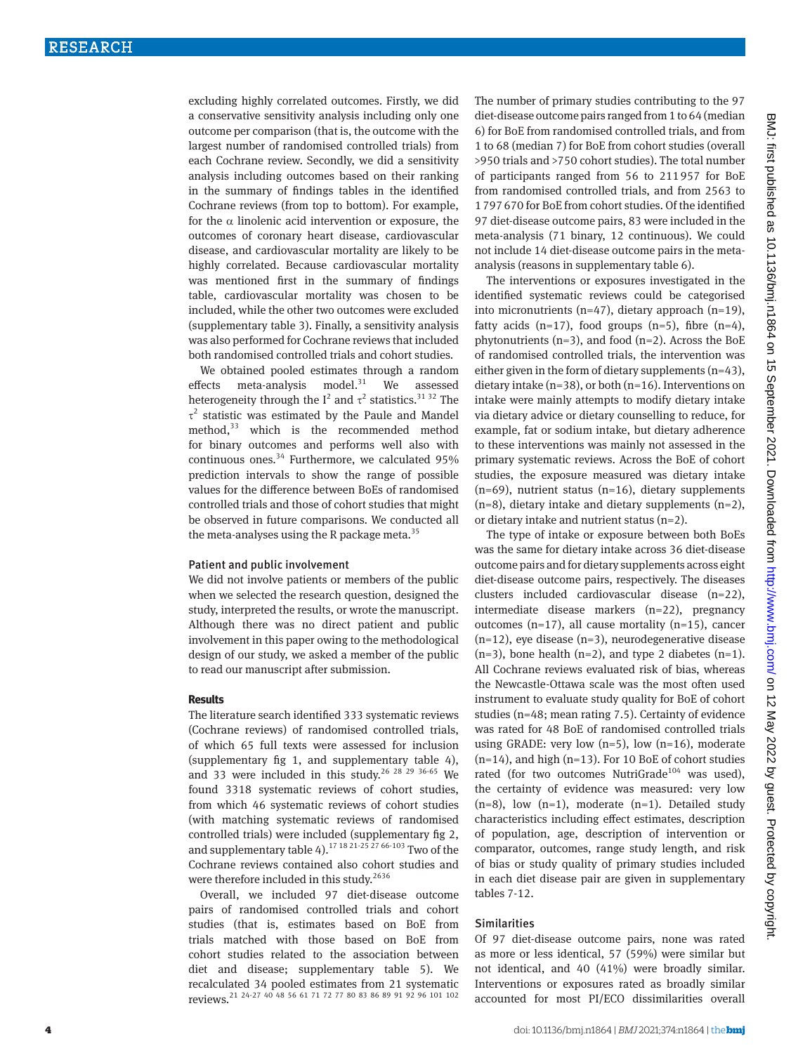excluding highly correlated outcomes. Firstly, we did a conservative sensitivity analysis including only one outcome per comparison (that is, the outcome with the largest number of randomised controlled trials) from each Cochrane review. Secondly, we did a sensitivity analysis including outcomes based on their ranking in the summary of findings tables in the identified Cochrane reviews (from top to bottom). For example, for the  $\alpha$  linolenic acid intervention or exposure, the outcomes of coronary heart disease, cardiovascular disease, and cardiovascular mortality are likely to be highly correlated. Because cardiovascular mortality was mentioned first in the summary of findings table, cardiovascular mortality was chosen to be included, while the other two outcomes were excluded (supplementary table 3). Finally, a sensitivity analysis was also performed for Cochrane reviews that included both randomised controlled trials and cohort studies.

We obtained pooled estimates through a random effects meta-analysis model. $31$  We assessed heterogeneity through the  $I^2$  and  $\tau^2$  statistics.<sup>31 32</sup> The  $\tau^2$  statistic was estimated by the Paule and Mandel method, $33$  which is the recommended method for binary outcomes and performs well also with continuous ones. $34$  Furthermore, we calculated 95% prediction intervals to show the range of possible values for the difference between BoEs of randomised controlled trials and those of cohort studies that might be observed in future comparisons. We conducted all the meta-analyses using the R package meta. $35$ 

#### Patient and public involvement

We did not involve patients or members of the public when we selected the research question, designed the study, interpreted the results, or wrote the manuscript. Although there was no direct patient and public involvement in this paper owing to the methodological design of our study, we asked a member of the public to read our manuscript after submission.

#### **Results**

The literature search identified 333 systematic reviews (Cochrane reviews) of randomised controlled trials, of which 65 full texts were assessed for inclusion (supplementary fig 1, and supplementary table 4), and 33 were included in this study.<sup>26 28 29 36-65</sup> We found 3318 systematic reviews of cohort studies, from which 46 systematic reviews of cohort studies (with matching systematic reviews of randomised controlled trials) were included (supplementary fig 2, and supplementary table 4).<sup>17 18 21-25 27 66-103</sup> Two of the Cochrane reviews contained also cohort studies and were therefore included in this study.<sup>2636</sup>

Overall, we included 97 diet-disease outcome pairs of randomised controlled trials and cohort studies (that is, estimates based on BoE from trials matched with those based on BoE from cohort studies related to the association between diet and disease; supplementary table 5). We recalculated 34 pooled estimates from 21 systematic reviews.<sup>21</sup> 24-27 40 48 56 61 71 72 77 80 83 86 89 91 92 96 101 102

The number of primary studies contributing to the 97 diet-disease outcome pairs ranged from 1 to 64 (median 6) for BoE from randomised controlled trials, and from 1 to 68 (median 7) for BoE from cohort studies (overall >950 trials and >750 cohort studies). The total number of participants ranged from 56 to 211957 for BoE from randomised controlled trials, and from 2563 to 1797670 for BoE from cohort studies. Of the identified 97 diet-disease outcome pairs, 83 were included in the meta-analysis (71 binary, 12 continuous). We could not include 14 diet-disease outcome pairs in the metaanalysis (reasons in supplementary table 6).

The interventions or exposures investigated in the identified systematic reviews could be categorised into micronutrients (n=47), dietary approach (n=19), fatty acids  $(n=17)$ , food groups  $(n=5)$ , fibre  $(n=4)$ , phytonutrients  $(n=3)$ , and food  $(n=2)$ . Across the BoE of randomised controlled trials, the intervention was either given in the form of dietary supplements (n=43), dietary intake ( $n=38$ ), or both ( $n=16$ ). Interventions on intake were mainly attempts to modify dietary intake via dietary advice or dietary counselling to reduce, for example, fat or sodium intake, but dietary adherence to these interventions was mainly not assessed in the primary systematic reviews. Across the BoE of cohort studies, the exposure measured was dietary intake  $(n=69)$ , nutrient status  $(n=16)$ , dietary supplements  $(n=8)$ , dietary intake and dietary supplements  $(n=2)$ , or dietary intake and nutrient status (n=2).

The type of intake or exposure between both BoEs was the same for dietary intake across 36 diet-disease outcome pairs and for dietary supplements across eight diet-disease outcome pairs, respectively. The diseases clusters included cardiovascular disease (n=22), intermediate disease markers (n=22), pregnancy outcomes (n=17), all cause mortality (n=15), cancer  $(n=12)$ , eye disease  $(n=3)$ , neurodegenerative disease  $(n=3)$ , bone health  $(n=2)$ , and type 2 diabetes  $(n=1)$ . All Cochrane reviews evaluated risk of bias, whereas the Newcastle-Ottawa scale was the most often used instrument to evaluate study quality for BoE of cohort studies (n=48; mean rating 7.5). Certainty of evidence was rated for 48 BoE of randomised controlled trials using GRADE: very low  $(n=5)$ , low  $(n=16)$ , moderate  $(n=14)$ , and high  $(n=13)$ . For 10 BoE of cohort studies rated (for two outcomes NutriGrade<sup>104</sup> was used), the certainty of evidence was measured: very low  $(n=8)$ , low  $(n=1)$ , moderate  $(n=1)$ . Detailed study characteristics including effect estimates, description of population, age, description of intervention or comparator, outcomes, range study length, and risk of bias or study quality of primary studies included in each diet disease pair are given in supplementary tables 7-12.

# Similarities

Of 97 diet-disease outcome pairs, none was rated as more or less identical, 57 (59%) were similar but not identical, and 40 (41%) were broadly similar. Interventions or exposures rated as broadly similar accounted for most PI/ECO dissimilarities overall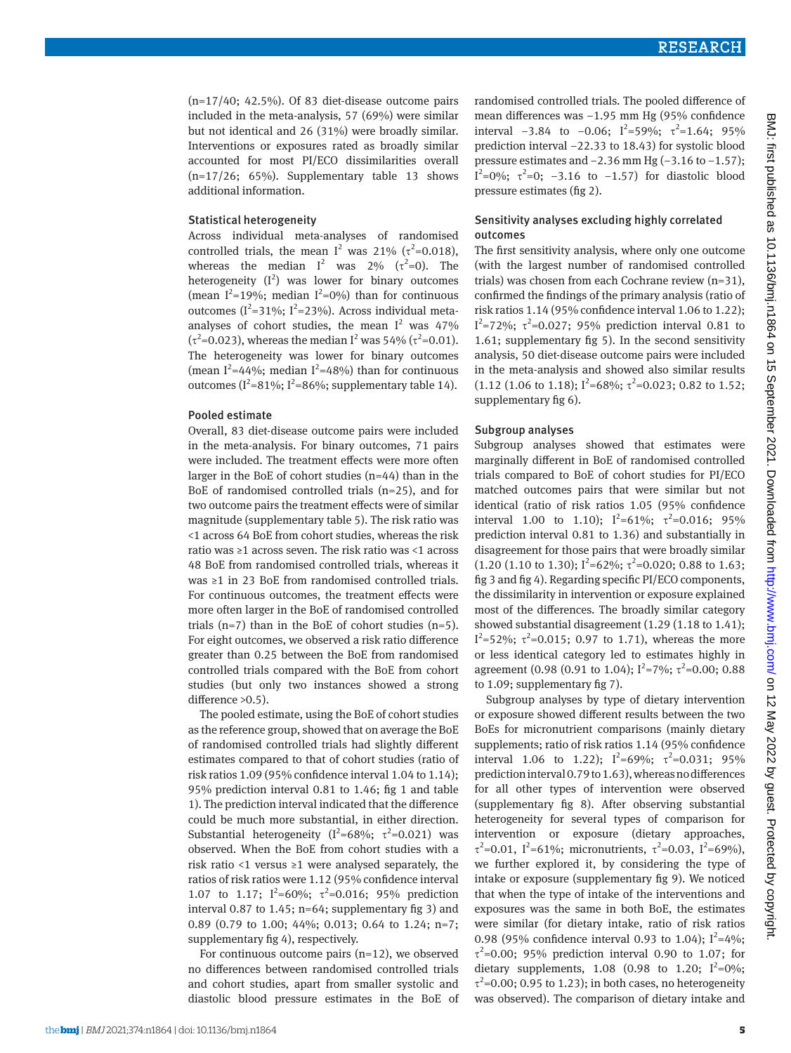$(n=17/40; 42.5%)$ . Of 83 diet-disease outcome pairs included in the meta-analysis, 57 (69%) were similar but not identical and 26 (31%) were broadly similar. Interventions or exposures rated as broadly similar accounted for most PI/ECO dissimilarities overall  $(n=17/26; 65%)$ . Supplementary table 13 shows additional information.

#### Statistical heterogeneity

Across individual meta-analyses of randomised controlled trials, the mean  $I^2$  was 21% ( $\tau^2$ =0.018), whereas the median  $I^2$  was 2% ( $\tau^2=0$ ). The heterogeneity  $(I^2)$  was lower for binary outcomes (mean  $I^2$ =19%; median  $I^2$ =0%) than for continuous outcomes ( $I^2$ =31%;  $I^2$ =23%). Across individual metaanalyses of cohort studies, the mean  $I^2$  was 47% (τ<sup>2</sup>=0.023), whereas the median I<sup>2</sup> was 54% (τ<sup>2</sup>=0.01). The heterogeneity was lower for binary outcomes (mean  $I^2$ =44%; median  $I^2$ =48%) than for continuous outcomes ( $I^2$ =81%;  $I^2$ =86%; supplementary table 14).

#### Pooled estimate

Overall, 83 diet-disease outcome pairs were included in the meta-analysis. For binary outcomes, 71 pairs were included. The treatment effects were more often larger in the BoE of cohort studies (n=44) than in the BoE of randomised controlled trials (n=25), and for two outcome pairs the treatment effects were of similar magnitude (supplementary table 5). The risk ratio was <1 across 64 BoE from cohort studies, whereas the risk ratio was ≥1 across seven. The risk ratio was <1 across 48 BoE from randomised controlled trials, whereas it was ≥1 in 23 BoE from randomised controlled trials. For continuous outcomes, the treatment effects were more often larger in the BoE of randomised controlled trials  $(n=7)$  than in the BoE of cohort studies  $(n=5)$ . For eight outcomes, we observed a risk ratio difference greater than 0.25 between the BoE from randomised controlled trials compared with the BoE from cohort studies (but only two instances showed a strong difference >0.5).

The pooled estimate, using the BoE of cohort studies as the reference group, showed that on average the BoE of randomised controlled trials had slightly different estimates compared to that of cohort studies (ratio of risk ratios 1.09 (95% confidence interval 1.04 to 1.14); 95% prediction interval 0.81 to 1.46; fig 1 and table 1). The prediction interval indicated that the difference could be much more substantial, in either direction. Substantial heterogeneity ( $I^2=68\%$ ;  $\tau^2=0.021$ ) was observed. When the BoE from cohort studies with a risk ratio <1 versus ≥1 were analysed separately, the ratios of risk ratios were 1.12 (95% confidence interval 1.07 to 1.17;  $I^2=60\%$ ;  $\tau^2=0.016$ ; 95% prediction interval 0.87 to 1.45;  $n=64$ ; supplementary fig 3) and 0.89 (0.79 to 1.00; 44%; 0.013; 0.64 to 1.24; n=7; supplementary fig 4), respectively.

For continuous outcome pairs  $(n=12)$ , we observed no differences between randomised controlled trials and cohort studies, apart from smaller systolic and diastolic blood pressure estimates in the BoE of randomised controlled trials. The pooled difference of mean differences was −1.95 mm Hg (95% confidence interval  $-3.84$  to  $-0.06$ ; I<sup>2</sup>=59%;  $\tau^2$ =1.64; 95% prediction interval −22.33 to 18.43) for systolic blood pressure estimates and −2.36 mm Hg (−3.16 to −1.57);  $I^2$ =0%; τ<sup>2</sup>=0; −3.16 to −1.57) for diastolic blood pressure estimates (fig 2).

#### Sensitivity analyses excluding highly correlated outcomes

The first sensitivity analysis, where only one outcome (with the largest number of randomised controlled trials) was chosen from each Cochrane review (n=31), confirmed the findings of the primary analysis (ratio of risk ratios 1.14 (95% confidence interval 1.06 to 1.22); I<sup>2</sup>=72%; τ<sup>2</sup>=0.027; 95% prediction interval 0.81 to 1.61; supplementary fig 5). In the second sensitivity analysis, 50 diet-disease outcome pairs were included in the meta-analysis and showed also similar results  $(1.12 \ (1.06 \text{ to } 1.18); I^2 = 68\%; \tau^2 = 0.023; 0.82 \text{ to } 1.52;$ supplementary fig 6).

#### Subgroup analyses

Subgroup analyses showed that estimates were marginally different in BoE of randomised controlled trials compared to BoE of cohort studies for PI/ECO matched outcomes pairs that were similar but not identical (ratio of risk ratios 1.05 (95% confidence interval 1.00 to 1.10);  $I^2=61\%$ ;  $\tau^2=0.016$ ; 95% prediction interval 0.81 to 1.36) and substantially in disagreement for those pairs that were broadly similar  $(1.20 (1.10 \text{ to } 1.30);$   $I^2=62\%; \tau^2=0.020; 0.88 \text{ to } 1.63;$ fig 3 and fig 4). Regarding specific PI/ECO components, the dissimilarity in intervention or exposure explained most of the differences. The broadly similar category showed substantial disagreement (1.29 (1.18 to 1.41);  $I^2$ =52%; τ<sup>2</sup>=0.015; 0.97 to 1.71), whereas the more or less identical category led to estimates highly in agreement (0.98 (0.91 to 1.04);  $I^2 = 7\%$ ;  $\tau^2 = 0.00$ ; 0.88 to 1.09; supplementary fig 7).

Subgroup analyses by type of dietary intervention or exposure showed different results between the two BoEs for micronutrient comparisons (mainly dietary supplements; ratio of risk ratios 1.14 (95% confidence interval 1.06 to 1.22);  $I^2=69\%$ ;  $\tau^2=0.031$ ; 95% prediction interval 0.79 to 1.63), whereas no differences for all other types of intervention were observed (supplementary fig 8). After observing substantial heterogeneity for several types of comparison for intervention or exposure (dietary approaches,  $τ<sup>2</sup>=0.01$ , I<sup>2</sup>=61%; micronutrients,  $τ<sup>2</sup>=0.03$ , I<sup>2</sup>=69%), we further explored it, by considering the type of intake or exposure (supplementary fig 9). We noticed that when the type of intake of the interventions and exposures was the same in both BoE, the estimates were similar (for dietary intake, ratio of risk ratios 0.98 (95% confidence interval 0.93 to 1.04);  $I^2=4\%$ ;  $\tau^2$ =0.00; 95% prediction interval 0.90 to 1.07; for dietary supplements, 1.08 (0.98 to 1.20;  $I^2=0\%$ ;  $\tau^2$ =0.00; 0.95 to 1.23); in both cases, no heterogeneity was observed). The comparison of dietary intake and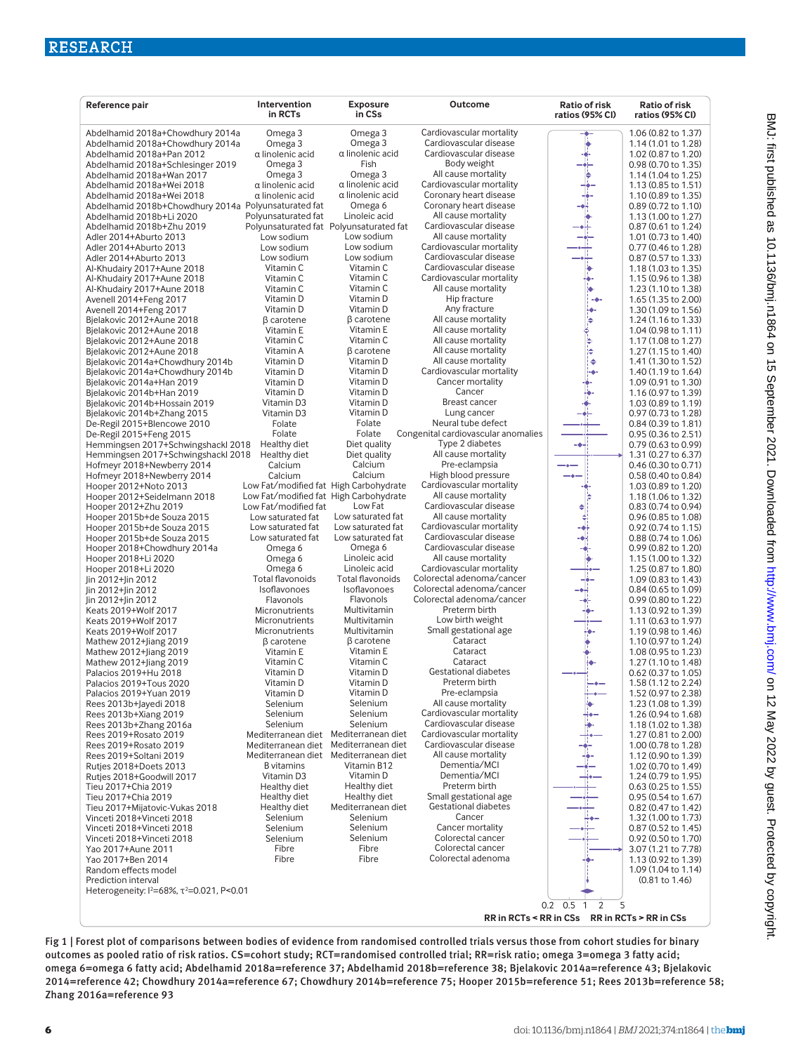| Reference pair                                                                    | Intervention<br>in RCTs                            | <b>Exposure</b><br>in CSs               | Outcome                                            | Ratio of risk<br>ratios (95% CI)              | <b>Ratio of risk</b><br>ratios (95% CI)    |
|-----------------------------------------------------------------------------------|----------------------------------------------------|-----------------------------------------|----------------------------------------------------|-----------------------------------------------|--------------------------------------------|
| Abdelhamid 2018a+Chowdhury 2014a                                                  | Omega <sub>3</sub>                                 | Omega <sub>3</sub>                      | Cardiovascular mortality                           | -♦-                                           | 1.06 (0.82 to 1.37)                        |
| Abdelhamid 2018a+Chowdhury 2014a                                                  | Omega 3                                            | Omega 3                                 | Cardiovascular disease                             |                                               | 1.14 (1.01 to 1.28)                        |
| Abdelhamid 2018a+Pan 2012                                                         | α linolenic acid                                   | α linolenic acid                        | Cardiovascular disease                             |                                               | 1.02 (0.87 to 1.20)                        |
| Abdelhamid 2018a+Schlesinger 2019                                                 | Omega 3                                            | Fish                                    | Body weight                                        |                                               | 0.98 (0.70 to 1.35)                        |
| Abdelhamid 2018a+Wan 2017                                                         | Omega 3                                            | Omega 3                                 | All cause mortality                                |                                               | 1.14 (1.04 to 1.25)                        |
| Abdelhamid 2018a+Wei 2018                                                         | $\alpha$ linolenic acid<br>$\alpha$ linolenic acid | $\alpha$ linolenic acid                 | Cardiovascular mortality<br>Coronary heart disease |                                               | 1.13 (0.85 to 1.51)                        |
| Abdelhamid 2018a+Wei 2018<br>Abdelhamid 2018b+Chowdhury 2014a Polyunsaturated fat |                                                    | $\alpha$ linolenic acid<br>Omega 6      | Coronary heart disease                             |                                               | 1.10 (0.89 to 1.35)<br>0.89 (0.72 to 1.10) |
| Abdelhamid 2018b+Li 2020                                                          | Polyunsaturated fat                                | Linoleic acid                           | All cause mortality                                |                                               | 1.13 (1.00 to 1.27)                        |
| Abdelhamid 2018b+Zhu 2019                                                         |                                                    | Polyunsaturated fat Polyunsaturated fat | Cardiovascular disease                             |                                               | 0.87 (0.61 to 1.24)                        |
| Adler 2014+Aburto 2013                                                            | Low sodium                                         | Low sodium                              | All cause mortality                                |                                               | 1.01 (0.73 to 1.40)                        |
| Adler 2014+Aburto 2013                                                            | Low sodium                                         | Low sodium                              | Cardiovascular mortality                           |                                               | 0.77 (0.46 to 1.28)                        |
| Adler 2014+Aburto 2013                                                            | Low sodium                                         | Low sodium                              | Cardiovascular disease                             |                                               | 0.87 (0.57 to 1.33)                        |
| Al-Khudairy 2017+Aune 2018                                                        | Vitamin C                                          | Vitamin C<br>Vitamin C                  | Cardiovascular disease<br>Cardiovascular mortality |                                               | 1.18 (1.03 to 1.35)                        |
| Al-Khudairy 2017+Aune 2018<br>Al-Khudairy 2017+Aune 2018                          | Vitamin C<br>Vitamin C                             | Vitamin C                               | All cause mortality                                |                                               | 1.15 (0.96 to 1.38)<br>1.23 (1.10 to 1.38) |
| Avenell 2014+Feng 2017                                                            | Vitamin D                                          | Vitamin D                               | Hip fracture                                       |                                               | 1.65 (1.35 to 2.00)                        |
| Avenell 2014+Feng 2017                                                            | Vitamin D                                          | Vitamin D                               | Any fracture                                       |                                               | 1.30 (1.09 to 1.56)                        |
| Bielakovic 2012+Aune 2018                                                         | $\beta$ carotene                                   | $\beta$ carotene                        | All cause mortality                                |                                               | 1.24 (1.16 to 1.33)                        |
| Bjelakovic 2012+Aune 2018                                                         | Vitamin E                                          | Vitamin E                               | All cause mortality                                |                                               | 1.04 (0.98 to 1.11)                        |
| Bjelakovic 2012+Aune 2018                                                         | Vitamin C                                          | Vitamin C                               | All cause mortality                                | ۵                                             | 1.17 (1.08 to 1.27)                        |
| Bjelakovic 2012+Aune 2018                                                         | Vitamin A                                          | $\beta$ carotene                        | All cause mortality                                | ۵                                             | 1.27 (1.15 to 1.40)                        |
| Bjelakovic 2014a+Chowdhury 2014b                                                  | Vitamin D<br>Vitamin D                             | Vitamin D<br>Vitamin D                  | All cause mortality<br>Cardiovascular mortality    | $\ddot{\phantom{0}}$                          | 1.41 (1.30 to 1.52)<br>1.40 (1.19 to 1.64) |
| Bjelakovic 2014a+Chowdhury 2014b<br>Bjelakovic 2014a+Han 2019                     | Vitamin D                                          | Vitamin D                               | Cancer mortality                                   |                                               | 1.09 (0.91 to 1.30)                        |
| Bjelakovic 2014b+Han 2019                                                         | Vitamin D                                          | Vitamin D                               | Cancer                                             |                                               | 1.16 (0.97 to 1.39)                        |
| Bjelakovic 2014b+Hossain 2019                                                     | Vitamin D3                                         | Vitamin D                               | Breast cancer                                      |                                               | 1.03 (0.89 to 1.19)                        |
| Bjelakovic 2014b+Zhang 2015                                                       | Vitamin D3                                         | Vitamin D                               | Lung cancer                                        |                                               | 0.97 (0.73 to 1.28)                        |
| De-Regil 2015+Blencowe 2010                                                       | Folate                                             | Folate                                  | Neural tube defect                                 |                                               | 0.84 (0.39 to 1.81)                        |
| De-Regil 2015+Feng 2015                                                           | Folate                                             | Folate                                  | Congenital cardiovascular anomalies                |                                               | 0.95 (0.36 to 2.51)                        |
| Hemmingsen 2017+Schwingshackl 2018                                                | Healthy diet                                       | Diet quality                            | Type 2 diabetes                                    |                                               | 0.79 (0.63 to 0.99)                        |
| Hemmingsen 2017+Schwingshackl 2018<br>Hofmeyr 2018+Newberry 2014                  | Healthy diet<br>Calcium                            | Diet quality<br>Calcium                 | All cause mortality<br>Pre-eclampsia               |                                               | 1.31 (0.27 to 6.37)<br>0.46 (0.30 to 0.71) |
| Hofmeyr 2018+Newberry 2014                                                        | Calcium                                            | Calcium                                 | High blood pressure                                |                                               | 0.58 (0.40 to 0.84)                        |
| Hooper 2012+Noto 2013                                                             | Low Fat/modified fat High Carbohydrate             |                                         | Cardiovascular mortality                           |                                               | 1.03 (0.89 to 1.20)                        |
| Hooper 2012+Seidelmann 2018                                                       | Low Fat/modified fat High Carbohydrate             |                                         | All cause mortality                                |                                               | 1.18 (1.06 to 1.32)                        |
| Hooper 2012+Zhu 2019                                                              | Low Fat/modified fat                               | Low Fat                                 | Cardiovascular disease                             |                                               | 0.83 (0.74 to 0.94)                        |
| Hooper 2015b+de Souza 2015                                                        | Low saturated fat                                  | Low saturated fat                       | All cause mortality                                |                                               | 0.96 (0.85 to 1.08)                        |
| Hooper 2015b+de Souza 2015                                                        | Low saturated fat                                  | Low saturated fat                       | Cardiovascular mortality<br>Cardiovascular disease |                                               | 0.92 (0.74 to 1.15)                        |
| Hooper 2015b+de Souza 2015<br>Hooper 2018+Chowdhury 2014a                         | Low saturated fat<br>Omega 6                       | Low saturated fat<br>Omega 6            | Cardiovascular disease                             |                                               | 0.88 (0.74 to 1.06)<br>0.99 (0.82 to 1.20) |
| Hooper 2018+Li 2020                                                               | Omega 6                                            | Linoleic acid                           | All cause mortality                                |                                               | 1.15 (1.00 to 1.32)                        |
| Hooper 2018+Li 2020                                                               | Omega 6                                            | Linoleic acid                           | Cardiovascular mortality                           |                                               | 1.25 (0.87 to 1.80)                        |
| Jin 2012+Jin 2012                                                                 | Total flavonoids                                   | <b>Total flavonoids</b>                 | Colorectal adenoma/cancer                          |                                               | 1.09 (0.83 to 1.43)                        |
| Jin 2012+Jin 2012                                                                 | Isoflavonoes                                       | Isoflavonoes                            | Colorectal adenoma/cancer                          |                                               | 0.84 (0.65 to 1.09)                        |
| Jin 2012+Jin 2012                                                                 | Flavonols                                          | Flavonols                               | Colorectal adenoma/cancer                          |                                               | 0.99 (0.80 to 1.22)                        |
| Keats 2019+Wolf 2017<br>Keats 2019+Wolf 2017                                      | Micronutrients<br>Micronutrients                   | Multivitamin<br>Multivitamin            | Preterm birth<br>Low birth weight                  |                                               | 1.13 (0.92 to 1.39)<br>1.11 (0.63 to 1.97) |
| Keats 2019+Wolf 2017                                                              | Micronutrients                                     | Multivitamin                            | Small gestational age                              |                                               | 1.19 (0.98 to 1.46)                        |
| Mathew 2012+Jiang 2019                                                            | $\beta$ carotene                                   | $\beta$ carotene                        | Cataract                                           |                                               | 1.10 (0.97 to 1.24)                        |
| Mathew 2012+Jiang 2019                                                            | Vitamin E                                          | Vitamin E                               | Cataract                                           |                                               | 1.08 (0.95 to 1.23)                        |
| Mathew 2012+Jiang 2019                                                            | Vitamin C                                          | Vitamin C                               | Cataract                                           |                                               | 1.27 (1.10 to 1.48)                        |
| Palacios 2019+Hu 2018                                                             | Vitamin D                                          | Vitamin D                               | Gestational diabetes                               |                                               | 0.62 (0.37 to 1.05)                        |
| Palacios 2019+Tous 2020                                                           | Vitamin D                                          | Vitamin D                               | Preterm birth                                      |                                               | 1.58 (1.12 to 2.24)                        |
| Palacios 2019+Yuan 2019<br>Rees 2013b+Jayedi 2018                                 | Vitamin D<br>Selenium                              | Vitamin D<br>Selenium                   | Pre-eclampsia<br>All cause mortality               |                                               | 1.52 (0.97 to 2.38)<br>1.23 (1.08 to 1.39) |
| Rees 2013b+Xiang 2019                                                             | Selenium                                           | Selenium                                | Cardiovascular mortality                           |                                               | 1.26 (0.94 to 1.68)                        |
| Rees 2013b+Zhang 2016a                                                            | Selenium                                           | Selenium                                | Cardiovascular disease                             |                                               | 1.18 (1.02 to 1.38)                        |
| Rees 2019+Rosato 2019                                                             | Mediterranean diet                                 | Mediterranean diet                      | Cardiovascular mortality                           |                                               | 1.27 (0.81 to 2.00)                        |
| Rees 2019+Rosato 2019                                                             | Mediterranean diet                                 | Mediterranean diet                      | Cardiovascular disease                             |                                               | 1.00 (0.78 to 1.28)                        |
| Rees 2019+Soltani 2019                                                            | Mediterranean diet                                 | Mediterranean diet                      | All cause mortality                                |                                               | 1.12 (0.90 to 1.39)                        |
| Rutjes 2018+Doets 2013                                                            | <b>B</b> vitamins                                  | Vitamin B12                             | Dementia/MCI<br>Dementia/MCI                       |                                               | 1.02 (0.70 to 1.49)                        |
| Rutjes 2018+Goodwill 2017<br>Tieu 2017+Chia 2019                                  | Vitamin D3<br>Healthy diet                         | Vitamin D<br>Healthy diet               | Preterm birth                                      |                                               | 1.24 (0.79 to 1.95)<br>0.63 (0.25 to 1.55) |
| Tieu 2017+Chia 2019                                                               | Healthy diet                                       | Healthy diet                            | Small gestational age                              |                                               | 0.95 (0.54 to 1.67)                        |
| Tieu 2017+Mijatovic-Vukas 2018                                                    | Healthy diet                                       | Mediterranean diet                      | <b>Gestational diabetes</b>                        |                                               | 0.82 (0.47 to 1.42)                        |
| Vinceti 2018+Vinceti 2018                                                         | Selenium                                           | Selenium                                | Cancer                                             |                                               | 1.32 (1.00 to 1.73)                        |
| Vinceti 2018+Vinceti 2018                                                         | Selenium                                           | Selenium                                | Cancer mortality                                   |                                               | 0.87 (0.52 to 1.45)                        |
| Vinceti 2018+Vinceti 2018                                                         | Selenium                                           | Selenium                                | Colorectal cancer                                  |                                               | 0.92 (0.50 to 1.70)                        |
| Yao 2017+Aune 2011                                                                | Fibre                                              | Fibre<br>Fibre                          | Colorectal cancer<br>Colorectal adenoma            |                                               | 3.07 (1.21 to 7.78)                        |
| Yao 2017+Ben 2014<br>Random effects model                                         | Fibre                                              |                                         |                                                    |                                               | 1.13 (0.92 to 1.39)<br>1.09 (1.04 to 1.14) |
| Prediction interval                                                               |                                                    |                                         |                                                    |                                               | (0.81 to 1.46)                             |
| Heterogeneity: $1^{2}$ =68%, $\tau^{2}$ =0.021, P<0.01                            |                                                    |                                         |                                                    |                                               |                                            |
|                                                                                   |                                                    |                                         |                                                    | 5<br>0.5 <sub>1</sub><br>2<br>0.2             |                                            |
|                                                                                   |                                                    |                                         |                                                    | RR in RCTs < RR in CSs RR in RCTs > RR in CSs |                                            |

Fig 1 | Forest plot of comparisons between bodies of evidence from randomised controlled trials versus those from cohort studies for binary outcomes as pooled ratio of risk ratios. CS=cohort study; RCT=randomised controlled trial; RR=risk ratio; omega 3=omega 3 fatty acid; omega 6=omega 6 fatty acid; Abdelhamid 2018a=reference 37; Abdelhamid 2018b=reference 38; Bjelakovic 2014a=reference 43; Bjelakovic 2014=reference 42; Chowdhury 2014a=reference 67; Chowdhury 2014b=reference 75; Hooper 2015b=reference 51; Rees 2013b=reference 58; Zhang 2016a=reference 93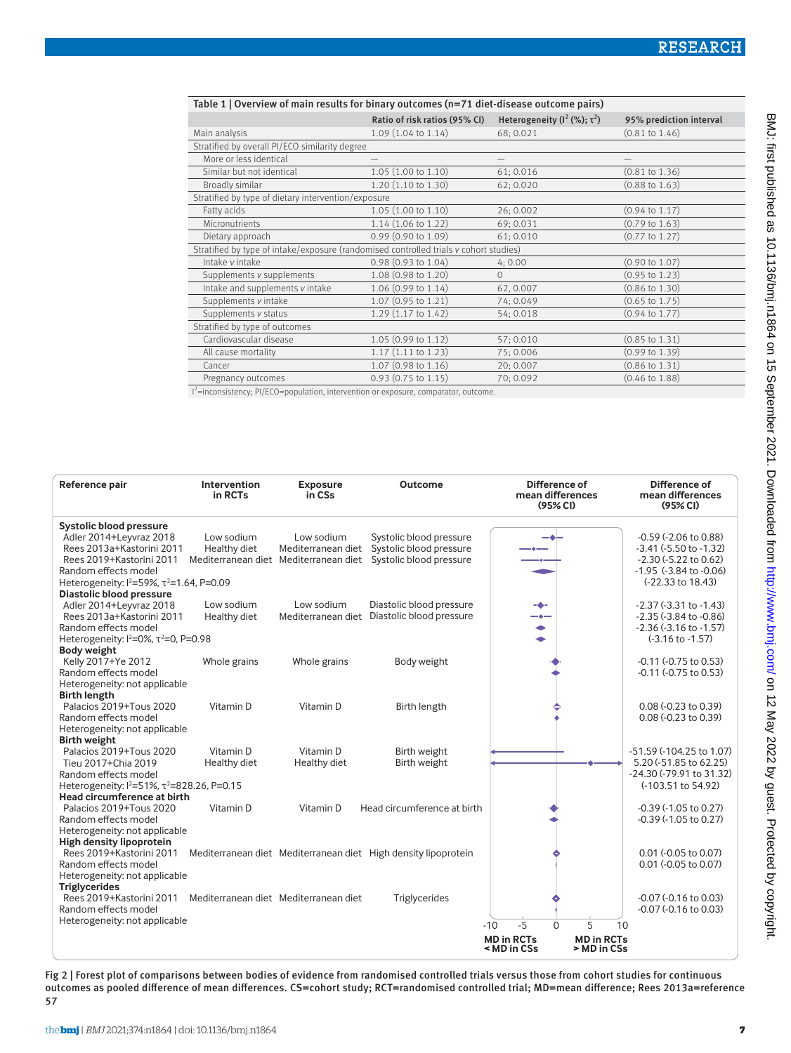| Table 1   Overview of main results for binary outcomes (n=71 diet-disease outcome pairs)  |                               |                                           |                           |  |  |  |
|-------------------------------------------------------------------------------------------|-------------------------------|-------------------------------------------|---------------------------|--|--|--|
|                                                                                           | Ratio of risk ratios (95% CI) | Heterogeneity $(l^2 \, (\%)$ ; $\tau^2$ ) | 95% prediction interval   |  |  |  |
| Main analysis                                                                             | 1.09 (1.04 to 1.14)           | 68; 0.021                                 | $(0.81 \text{ to } 1.46)$ |  |  |  |
| Stratified by overall PI/ECO similarity degree                                            |                               |                                           |                           |  |  |  |
| More or less identical                                                                    |                               |                                           |                           |  |  |  |
| Similar but not identical                                                                 | 1.05 (1.00 to 1.10)           | 61; 0.016                                 | $(0.81 \text{ to } 1.36)$ |  |  |  |
| Broadly similar                                                                           | 1.20 (1.10 to 1.30)           | 62; 0.020                                 | $(0.88 \text{ to } 1.63)$ |  |  |  |
| Stratified by type of dietary intervention/exposure                                       |                               |                                           |                           |  |  |  |
| Fatty acids                                                                               | 1.05(1.00 to 1.10)            | 26; 0.002                                 | $(0.94 \text{ to } 1.17)$ |  |  |  |
| Micronutrients                                                                            | 1.14 (1.06 to 1.22)           | 69; 0.031                                 | $(0.79 \text{ to } 1.63)$ |  |  |  |
| Dietary approach                                                                          | $0.99$ (0.90 to 1.09)         | 61; 0.010                                 | $(0.77 \text{ to } 1.27)$ |  |  |  |
| Stratified by type of intake/exposure (randomised controlled trials v cohort studies)     |                               |                                           |                           |  |  |  |
| Intake v intake                                                                           | $0.98(0.93 \text{ to } 1.04)$ | 4:0.00                                    | $(0.90 \text{ to } 1.07)$ |  |  |  |
| Supplements v supplements                                                                 | 1.08 (0.98 to 1.20)           | $\Omega$                                  | $(0.95 \text{ to } 1.23)$ |  |  |  |
| Intake and supplements v intake                                                           | 1.06 (0.99 to 1.14)           | 62,0.007                                  | $(0.86 \text{ to } 1.30)$ |  |  |  |
| Supplements v intake                                                                      | 1.07 (0.95 to 1.21)           | 74; 0.049                                 | $(0.65 \text{ to } 1.75)$ |  |  |  |
| Supplements v status                                                                      | 1.29 (1.17 to 1.42)           | 54; 0.018                                 | $(0.94 \text{ to } 1.77)$ |  |  |  |
| Stratified by type of outcomes                                                            |                               |                                           |                           |  |  |  |
| Cardiovascular disease                                                                    | 1.05 (0.99 to 1.12)           | 57:0.010                                  | $(0.85 \text{ to } 1.31)$ |  |  |  |
| All cause mortality                                                                       | $1.17(1.11 \text{ to } 1.23)$ | 75:0.006                                  | $(0.99 \text{ to } 1.39)$ |  |  |  |
| Cancer                                                                                    | 1.07 (0.98 to 1.16)           | 20; 0.007                                 | $(0.86 \text{ to } 1.31)$ |  |  |  |
| Pregnancy outcomes                                                                        | $0.93$ (0.75 to 1.15)         | 70; 0.092                                 | $(0.46 \text{ to } 1.88)$ |  |  |  |
| $1^{2}$ =inconsistency: PI/ECO=population. intervention or exposure. comparator, outcome. |                               |                                           |                           |  |  |  |

I =inconsistency; PI/ECO=population, intervention or exposure, comparator, outcome.

| Reference pair                                                                                                                                                                                      | Intervention<br>in RCTs    | <b>Exposure</b><br>in CSs                                                 | Outcome                                                                       | Difference of<br>mean differences<br>(95% <sub>C</sub> )                                               | Difference of<br>mean differences<br>(95% <sub>C</sub> )                                                                                  |
|-----------------------------------------------------------------------------------------------------------------------------------------------------------------------------------------------------|----------------------------|---------------------------------------------------------------------------|-------------------------------------------------------------------------------|--------------------------------------------------------------------------------------------------------|-------------------------------------------------------------------------------------------------------------------------------------------|
| <b>Systolic blood pressure</b><br>Adler 2014+Leyvraz 2018<br>Rees 2013a+Kastorini 2011<br>Rees 2019+Kastorini 2011<br>Random effects model<br>Heterogeneity: $1^{2}$ =59%, $\tau^{2}$ =1.64, P=0.09 | Low sodium<br>Healthy diet | Low sodium<br>Mediterranean diet<br>Mediterranean diet Mediterranean diet | Systolic blood pressure<br>Systolic blood pressure<br>Systolic blood pressure |                                                                                                        | $-0.59$ $(-2.06$ to $0.88)$<br>$-3.41$ $(-5.50$ to $-1.32)$<br>-2.30 (-5.22 to 0.62)<br>$-1.95$ $(-3.84$ to $-0.06)$<br>(-22.33 to 18.43) |
| Diastolic blood pressure<br>Adler 2014+Leyvraz 2018<br>Rees 2013a+Kastorini 2011<br>Random effects model<br>Heterogeneity: $1^2$ =0%, $\tau^2$ =0, P=0.98                                           | Low sodium<br>Healthy diet | Low sodium<br>Mediterranean diet                                          | Diastolic blood pressure<br>Diastolic blood pressure                          | -6-                                                                                                    | $-2.37$ ( $-3.31$ to $-1.43$ )<br>$-2.35$ ( $-3.84$ to $-0.86$ )<br>$-2.36$ $(-3.16$ to $-1.57)$<br>$(-3.16 \text{ to } -1.57)$           |
| <b>Body weight</b><br>Kelly 2017+Ye 2012<br>Random effects model<br>Heterogeneity: not applicable                                                                                                   | Whole grains               | Whole grains                                                              | Body weight                                                                   |                                                                                                        | $-0.11$ $(-0.75$ to $0.53)$<br>-0.11 (-0.75 to 0.53)                                                                                      |
| <b>Birth length</b><br>Palacios 2019+Tous 2020<br>Random effects model<br>Heterogeneity: not applicable                                                                                             | Vitamin D                  | Vitamin D                                                                 | Birth length                                                                  |                                                                                                        | 0.08 (-0.23 to 0.39)<br>0.08 (-0.23 to 0.39)                                                                                              |
| <b>Birth weight</b><br>Palacios 2019+Tous 2020<br>Tieu 2017+Chia 2019<br>Random effects model<br>Heterogeneity: $1^{2}=51\%$ , $\tau^{2}=828.26$ , P=0.15<br>Head circumference at birth            | Vitamin D<br>Healthy diet  | Vitamin D<br>Healthy diet                                                 | Birth weight<br>Birth weight                                                  |                                                                                                        | -51.59 (-104.25 to 1.07)<br>5.20 (-51.85 to 62.25)<br>-24.30 (-79.91 to 31.32)<br>(-103.51 to 54.92)                                      |
| Palacios 2019+Tous 2020<br>Random effects model<br>Heterogeneity: not applicable                                                                                                                    | Vitamin D                  | Vitamin D                                                                 | Head circumference at birth                                                   |                                                                                                        | $-0.39$ ( $-1.05$ to 0.27)<br>$-0.39$ $(-1.05$ to $0.27)$                                                                                 |
| High density lipoprotein<br>Rees 2019+Kastorini 2011<br>Random effects model<br>Heterogeneity: not applicable<br><b>Triglycerides</b>                                                               |                            |                                                                           | Mediterranean diet Mediterranean diet High density lipoprotein                |                                                                                                        | 0.01 (-0.05 to 0.07)<br>0.01 (-0.05 to 0.07)                                                                                              |
| Rees 2019+Kastorini 2011<br>Random effects model<br>Heterogeneity: not applicable                                                                                                                   |                            | Mediterranean diet Mediterranean diet                                     | Triglycerides                                                                 | $-5$<br>$\Omega$<br>5<br>$-10$<br><b>MD in RCTs</b><br><b>MD in RCTs</b><br>< MD in CSs<br>> MD in CSs | $-0.07$ $(-0.16$ to $0.03)$<br>$-0.07$ $(-0.16$ to $0.03)$<br>10                                                                          |

Fig 2 | Forest plot of comparisons between bodies of evidence from randomised controlled trials versus those from cohort studies for continuous outcomes as pooled difference of mean differences. CS=cohort study; RCT=randomised controlled trial; MD=mean difference; Rees 2013a=reference 57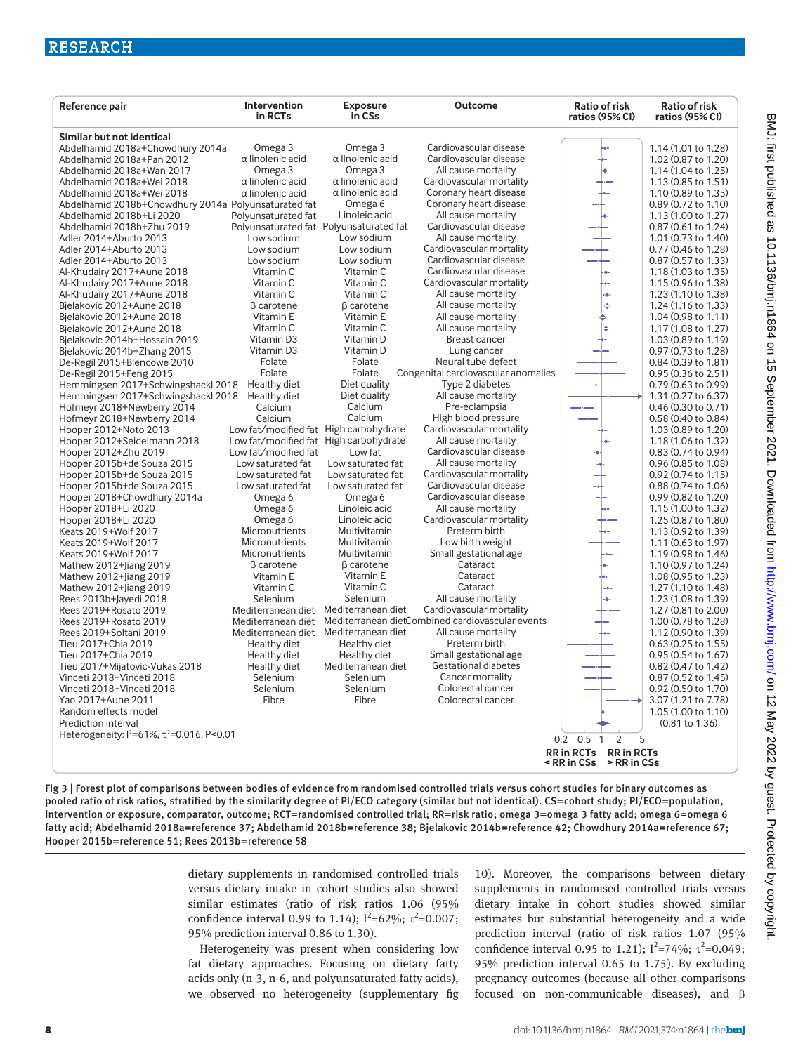| Reference pair                                                | Intervention<br>in RCTs                                     | <b>Exposure</b><br>in CSs | <b>Outcome</b>                                                               | <b>Ratio of risk</b><br>ratios (95% CI)                      | <b>Ratio of risk</b><br>ratios (95% CI)    |
|---------------------------------------------------------------|-------------------------------------------------------------|---------------------------|------------------------------------------------------------------------------|--------------------------------------------------------------|--------------------------------------------|
| Similar but not identical                                     |                                                             |                           |                                                                              |                                                              |                                            |
| Abdelhamid 2018a+Chowdhury 2014a                              | Omega 3                                                     | Omega 3                   | Cardiovascular disease                                                       |                                                              | 1.14 (1.01 to 1.28)                        |
| Abdelhamid 2018a+Pan 2012                                     | α linolenic acid                                            | α linolenic acid          | Cardiovascular disease                                                       |                                                              | 1.02 (0.87 to 1.20)                        |
| Abdelhamid 2018a+Wan 2017                                     | Omega 3                                                     | Omega 3                   | All cause mortality                                                          |                                                              | 1.14 (1.04 to 1.25)                        |
| Abdelhamid 2018a+Wei 2018                                     | $\alpha$ linolenic acid                                     | $\alpha$ linolenic acid   | Cardiovascular mortality                                                     |                                                              | 1.13 (0.85 to 1.51)                        |
| Abdelhamid 2018a+Wei 2018                                     | $\alpha$ linolenic acid                                     | $\alpha$ linolenic acid   | Coronary heart disease                                                       |                                                              | 1.10 (0.89 to 1.35)                        |
| Abdelhamid 2018b+Chowdhury 2014a Polyunsaturated fat          |                                                             | Omega <sub>6</sub>        | Coronary heart disease                                                       |                                                              | 0.89 (0.72 to 1.10)                        |
| Abdelhamid 2018b+Li 2020                                      | Polyunsaturated fat                                         | Linoleic acid             | All cause mortality                                                          |                                                              | 1.13 (1.00 to 1.27)                        |
| Abdelhamid 2018b+Zhu 2019                                     | Polyunsaturated fat Polyunsaturated fat                     |                           | Cardiovascular disease                                                       |                                                              | 0.87 (0.61 to 1.24)                        |
| Adler 2014+Aburto 2013                                        | Low sodium                                                  | Low sodium                | All cause mortality                                                          |                                                              | 1.01 (0.73 to 1.40)                        |
| Adler 2014+Aburto 2013                                        | Low sodium                                                  | Low sodium                | Cardiovascular mortality                                                     |                                                              | 0.77 (0.46 to 1.28)                        |
| Adler 2014+Aburto 2013                                        | Low sodium                                                  | Low sodium                | Cardiovascular disease                                                       |                                                              | 0.87 (0.57 to 1.33)                        |
| Al-Khudairy 2017+Aune 2018                                    | Vitamin C                                                   | Vitamin C<br>Vitamin C    | Cardiovascular disease                                                       |                                                              | 1.18 (1.03 to 1.35)                        |
| Al-Khudairy 2017+Aune 2018                                    | Vitamin C                                                   | Vitamin C                 | Cardiovascular mortality<br>All cause mortality                              | ö.                                                           | 1.15 (0.96 to 1.38)                        |
| Al-Khudairy 2017+Aune 2018<br>Bjelakovic 2012+Aune 2018       | Vitamin C<br>$\beta$ carotene                               | $\beta$ carotene          | All cause mortality                                                          | $\ddot{\bullet}$                                             | 1.23 (1.10 to 1.38)<br>1.24 (1.16 to 1.33) |
| Bielakovic 2012+Aune 2018                                     | Vitamin E                                                   | Vitamin E                 | All cause mortality                                                          |                                                              | 1.04 (0.98 to 1.11)                        |
| Bjelakovic 2012+Aune 2018                                     | Vitamin C                                                   | Vitamin C                 | All cause mortality                                                          |                                                              | 1.17 (1.08 to 1.27)                        |
| Bjelakovic 2014b+Hossain 2019                                 | Vitamin D3                                                  | Vitamin D                 | Breast cancer                                                                |                                                              | 1.03 (0.89 to 1.19)                        |
| Bjelakovic 2014b+Zhang 2015                                   | Vitamin D3                                                  | Vitamin D                 | Lung cancer                                                                  |                                                              | 0.97 (0.73 to 1.28)                        |
| De-Regil 2015+Blencowe 2010                                   | Folate                                                      | Folate                    | Neural tube defect                                                           |                                                              | 0.84 (0.39 to 1.81)                        |
| De-Regil 2015+Feng 2015                                       | Folate                                                      | Folate                    | Congenital cardiovascular anomalies                                          |                                                              | 0.95 (0.36 to 2.51)                        |
| Hemmingsen 2017+Schwingshackl 2018                            | Healthy diet                                                | Diet quality              | Type 2 diabetes                                                              | ÷.                                                           | 0.79 (0.63 to 0.99)                        |
| Hemmingsen 2017+Schwingshackl 2018                            | Healthy diet                                                | Diet quality              | All cause mortality                                                          |                                                              | 1.31 (0.27 to 6.37)                        |
| Hofmeyr 2018+Newberry 2014                                    | Calcium                                                     | Calcium                   | Pre-eclampsia                                                                |                                                              | 0.46 (0.30 to 0.71)                        |
| Hofmeyr 2018+Newberry 2014                                    | Calcium                                                     | Calcium                   | High blood pressure                                                          |                                                              | 0.58 (0.40 to 0.84)                        |
| Hooper 2012+Noto 2013                                         | Low fat/modified fat High carbohydrate                      |                           | Cardiovascular mortality                                                     |                                                              | 1.03 (0.89 to 1.20)                        |
| Hooper 2012+Seidelmann 2018                                   | Low fat/modified fat High carbohydrate                      |                           | All cause mortality                                                          |                                                              | 1.18 (1.06 to 1.32)                        |
| Hooper 2012+Zhu 2019                                          | Low fat/modified fat                                        | Low fat                   | Cardiovascular disease                                                       |                                                              | 0.83 (0.74 to 0.94)                        |
| Hooper 2015b+de Souza 2015                                    | Low saturated fat                                           | Low saturated fat         | All cause mortality                                                          |                                                              | 0.96 (0.85 to 1.08)                        |
| Hooper 2015b+de Souza 2015                                    | Low saturated fat                                           | Low saturated fat         | Cardiovascular mortality                                                     |                                                              | 0.92 (0.74 to 1.15)                        |
| Hooper 2015b+de Souza 2015                                    | Low saturated fat                                           | Low saturated fat         | Cardiovascular disease                                                       |                                                              | 0.88 (0.74 to 1.06)                        |
| Hooper 2018+Chowdhury 2014a                                   | Omega <sub>6</sub>                                          | Omega <sub>6</sub>        | Cardiovascular disease                                                       |                                                              | 0.99 (0.82 to 1.20)                        |
| Hooper 2018+Li 2020                                           | Omega 6                                                     | Linoleic acid             | All cause mortality                                                          |                                                              | 1.15 (1.00 to 1.32)                        |
| Hooper 2018+Li 2020                                           | Omega <sub>6</sub>                                          | Linoleic acid             | Cardiovascular mortality                                                     |                                                              | 1.25 (0.87 to 1.80)                        |
| Keats 2019+Wolf 2017                                          | Micronutrients                                              | Multivitamin              | Preterm birth                                                                |                                                              | 1.13 (0.92 to 1.39)                        |
| Keats 2019+Wolf 2017                                          | Micronutrients                                              | Multivitamin              | Low birth weight                                                             |                                                              | 1.11 (0.63 to 1.97)                        |
| Keats 2019+Wolf 2017                                          | Micronutrients                                              | Multivitamin              | Small gestational age                                                        |                                                              | 1.19 (0.98 to 1.46)                        |
| Mathew 2012+Jiang 2019                                        | <b>B</b> carotene                                           | <b>B</b> carotene         | Cataract                                                                     |                                                              | 1.10 (0.97 to 1.24)                        |
| Mathew 2012+Jiang 2019                                        | Vitamin E                                                   | Vitamin E                 | Cataract                                                                     |                                                              | 1.08 (0.95 to 1.23)                        |
| Mathew 2012+Jiang 2019                                        | Vitamin C                                                   | Vitamin C                 | Cataract                                                                     |                                                              | 1.27 (1.10 to 1.48)                        |
| Rees 2013b+Jayedi 2018                                        | Selenium                                                    | Selenium                  | All cause mortality                                                          |                                                              | 1.23 (1.08 to 1.39)                        |
| Rees 2019+Rosato 2019                                         | Mediterranean diet                                          | Mediterranean diet        | Cardiovascular mortality<br>Mediterranean dietCombined cardiovascular events |                                                              | 1.27 (0.81 to 2.00)                        |
| Rees 2019+Rosato 2019                                         | Mediterranean diet<br>Mediterranean diet Mediterranean diet |                           | All cause mortality                                                          |                                                              | 1.00 (0.78 to 1.28)                        |
| Rees 2019+Soltani 2019<br>Tieu 2017+Chia 2019                 | Healthy diet                                                | Healthy diet              | Preterm birth                                                                |                                                              | 1.12 (0.90 to 1.39)<br>0.63 (0.25 to 1.55) |
| Tieu 2017+Chia 2019                                           | Healthy diet                                                | Healthy diet              | Small gestational age                                                        |                                                              | 0.95 (0.54 to 1.67)                        |
| Tieu 2017+Mijatovic-Vukas 2018                                | Healthy diet                                                | Mediterranean diet        | <b>Gestational diabetes</b>                                                  |                                                              | 0.82 (0.47 to 1.42)                        |
| Vinceti 2018+Vinceti 2018                                     | Selenium                                                    | Selenium                  | Cancer mortality                                                             |                                                              | 0.87 (0.52 to 1.45)                        |
| Vinceti 2018+Vinceti 2018                                     | Selenium                                                    | Selenium                  | Colorectal cancer                                                            |                                                              | 0.92 (0.50 to 1.70)                        |
| Yao 2017+Aune 2011                                            | Fibre                                                       | Fibre                     | Colorectal cancer                                                            |                                                              | 3.07 (1.21 to 7.78)                        |
| Random effects model                                          |                                                             |                           |                                                                              |                                                              | 1.05 (1.00 to 1.10)                        |
| Prediction interval                                           |                                                             |                           |                                                                              |                                                              | $(0.81 \text{ to } 1.36)$                  |
| Heterogeneity: $1^2$ =61%, $\tau$ <sup>2</sup> =0.016, P<0.01 |                                                             |                           |                                                                              |                                                              |                                            |
|                                                               |                                                             |                           |                                                                              | $0.2 \quad 0.5$<br>2<br>5<br>$\mathbf{1}$                    |                                            |
|                                                               |                                                             |                           |                                                                              | RR in RCTs RR in RCTs<br>$\leq$ RR in C.Ss $\geq$ RR in C.Ss |                                            |

Fig 3 | Forest plot of comparisons between bodies of evidence from randomised controlled trials versus cohort studies for binary outcomes as pooled ratio of risk ratios, stratified by the similarity degree of PI/ECO category (similar but not identical). CS=cohort study; PI/ECO=population, intervention or exposure, comparator, outcome; RCT=randomised controlled trial; RR=risk ratio; omega 3=omega 3 fatty acid; omega 6=omega 6 fatty acid; Abdelhamid 2018a=reference 37; Abdelhamid 2018b=reference 38; Bjelakovic 2014b=reference 42; Chowdhury 2014a=reference 67; Hooper 2015b=reference 51; Rees 2013b=reference 58

> dietary supplements in randomised controlled trials versus dietary intake in cohort studies also showed similar estimates (ratio of risk ratios 1.06 (95% confidence interval 0.99 to 1.14);  $I^2=62\%$ ;  $\tau^2=0.007$ ; 95% prediction interval 0.86 to 1.30).

> Heterogeneity was present when considering low fat dietary approaches. Focusing on dietary fatty acids only (n-3, n-6, and polyunsaturated fatty acids), we observed no heterogeneity (supplementary fig

10). Moreover, the comparisons between dietary supplements in randomised controlled trials versus dietary intake in cohort studies showed similar estimates but substantial heterogeneity and a wide prediction interval (ratio of risk ratios 1.07 (95% confidence interval 0.95 to 1.21);  $I^2 = 74\%$ ;  $\tau^2 = 0.049$ ; 95% prediction interval 0.65 to 1.75). By excluding pregnancy outcomes (because all other comparisons focused on non-communicable diseases), and β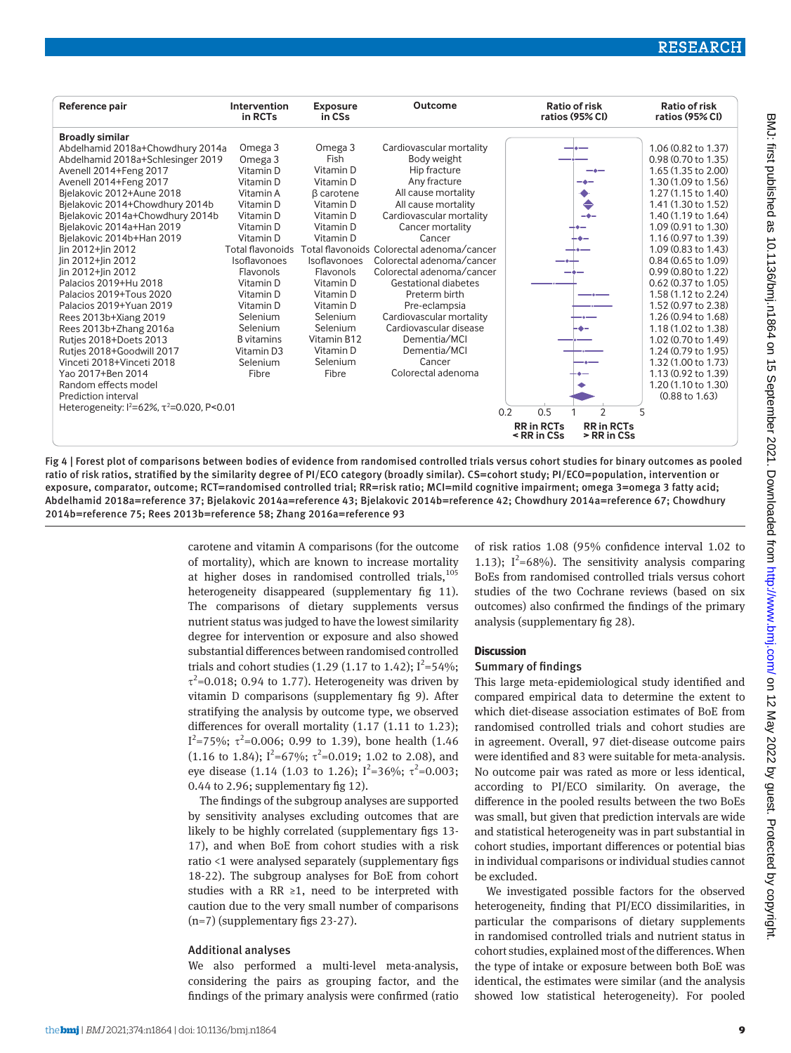

Fig 4 | Forest plot of comparisons between bodies of evidence from randomised controlled trials versus cohort studies for binary outcomes as pooled ratio of risk ratios, stratified by the similarity degree of PI/ECO category (broadly similar). CS=cohort study; PI/ECO=population, intervention or exposure, comparator, outcome; RCT=randomised controlled trial; RR=risk ratio; MCI=mild cognitive impairment; omega 3=omega 3 fatty acid; Abdelhamid 2018a=reference 37; Bjelakovic 2014a=reference 43; Bjelakovic 2014b=reference 42; Chowdhury 2014a=reference 67; Chowdhury 2014b=reference 75; Rees 2013b=reference 58; Zhang 2016a=reference 93

> carotene and vitamin A comparisons (for the outcome of mortality), which are known to increase mortality at higher doses in randomised controlled trials, $105$ heterogeneity disappeared (supplementary fig 11). The comparisons of dietary supplements versus nutrient status was judged to have the lowest similarity degree for intervention or exposure and also showed substantial differences between randomised controlled trials and cohort studies (1.29 (1.17 to 1.42);  $I^2 = 54\%$ ;  $\tau^2$ =0.018; 0.94 to 1.77). Heterogeneity was driven by vitamin D comparisons (supplementary fig 9). After stratifying the analysis by outcome type, we observed differences for overall mortality (1.17 (1.11 to 1.23);  $I^2$ =75%; τ<sup>2</sup>=0.006; 0.99 to 1.39), bone health (1.46  $(1.16 \text{ to } 1.84);$   $I^2=67\%; \tau^2=0.019;$  1.02 to 2.08), and eye disease (1.14 (1.03 to 1.26);  $I^2=36\%$ ;  $\tau^2=0.003$ ; 0.44 to 2.96; supplementary fig 12).

The findings of the subgroup analyses are supported by sensitivity analyses excluding outcomes that are likely to be highly correlated (supplementary figs 13- 17), and when BoE from cohort studies with a risk ratio <1 were analysed separately (supplementary figs 18-22). The subgroup analyses for BoE from cohort studies with a RR ≥1, need to be interpreted with caution due to the very small number of comparisons (n=7) (supplementary figs 23-27).

#### Additional analyses

We also performed a multi-level meta-analysis, considering the pairs as grouping factor, and the findings of the primary analysis were confirmed (ratio of risk ratios 1.08 (95% confidence interval 1.02 to 1.13);  $I^2=68\%$ ). The sensitivity analysis comparing BoEs from randomised controlled trials versus cohort studies of the two Cochrane reviews (based on six outcomes) also confirmed the findings of the primary analysis (supplementary fig 28).

#### **Discussion**

#### Summary of findings

This large meta-epidemiological study identified and compared empirical data to determine the extent to which diet-disease association estimates of BoE from randomised controlled trials and cohort studies are in agreement. Overall, 97 diet-disease outcome pairs were identified and 83 were suitable for meta-analysis. No outcome pair was rated as more or less identical, according to PI/ECO similarity. On average, the difference in the pooled results between the two BoEs was small, but given that prediction intervals are wide and statistical heterogeneity was in part substantial in cohort studies, important differences or potential bias in individual comparisons or individual studies cannot be excluded.

We investigated possible factors for the observed heterogeneity, finding that PI/ECO dissimilarities, in particular the comparisons of dietary supplements in randomised controlled trials and nutrient status in cohort studies, explained most of the differences. When the type of intake or exposure between both BoE was identical, the estimates were similar (and the analysis showed low statistical heterogeneity). For pooled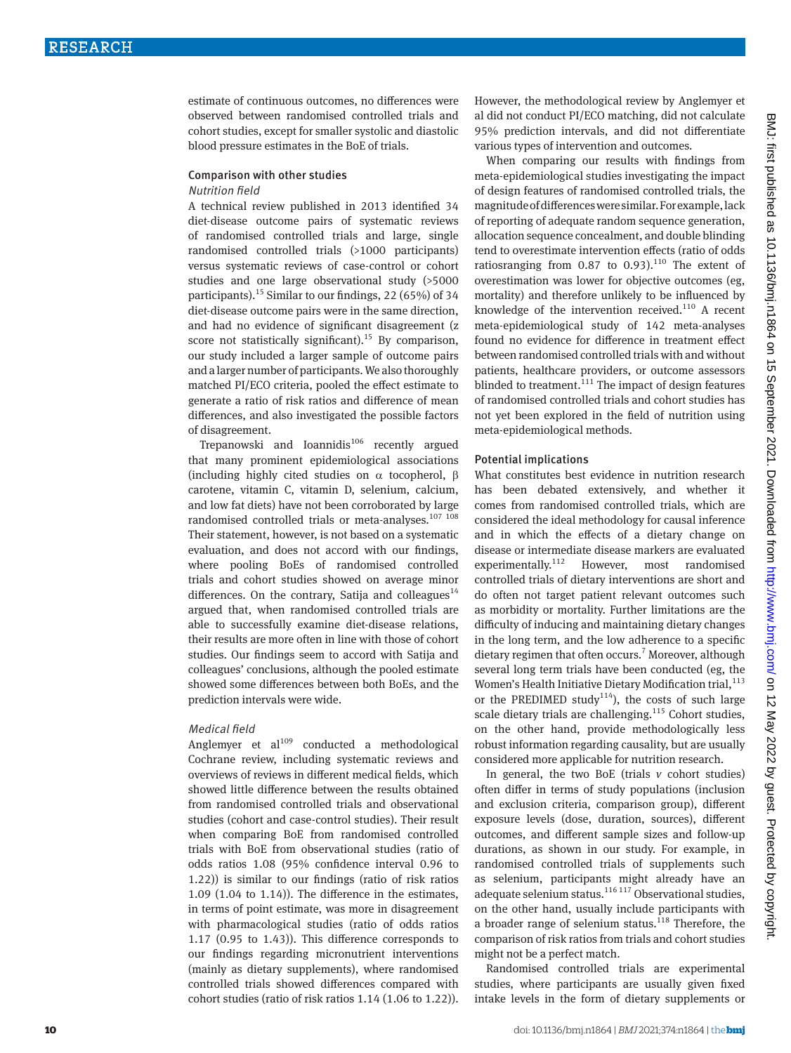estimate of continuous outcomes, no differences were observed between randomised controlled trials and cohort studies, except for smaller systolic and diastolic blood pressure estimates in the BoE of trials.

#### Comparison with other studies Nutrition field

A technical review published in 2013 identified 34 diet-disease outcome pairs of systematic reviews of randomised controlled trials and large, single randomised controlled trials (>1000 participants) versus systematic reviews of case-control or cohort studies and one large observational study (>5000 participants).<sup>15</sup> Similar to our findings, 22 (65%) of 34 diet-disease outcome pairs were in the same direction, and had no evidence of significant disagreement (z score not statistically significant).<sup>15</sup> By comparison, our study included a larger sample of outcome pairs and a larger number of participants. We also thoroughly matched PI/ECO criteria, pooled the effect estimate to generate a ratio of risk ratios and difference of mean differences, and also investigated the possible factors of disagreement.

Trepanowski and Ioannidis<sup>106</sup> recently argued that many prominent epidemiological associations (including highly cited studies on  $\alpha$  tocopherol, β carotene, vitamin C, vitamin D, selenium, calcium, and low fat diets) have not been corroborated by large randomised controlled trials or meta-analyses. $107,108$ Their statement, however, is not based on a systematic evaluation, and does not accord with our findings, where pooling BoEs of randomised controlled trials and cohort studies showed on average minor differences. On the contrary, Satija and colleagues<sup>14</sup> argued that, when randomised controlled trials are able to successfully examine diet-disease relations, their results are more often in line with those of cohort studies. Our findings seem to accord with Satija and colleagues' conclusions, although the pooled estimate showed some differences between both BoEs, and the prediction intervals were wide.

#### Medical field

Anglemyer et  $al^{109}$  conducted a methodological Cochrane review, including systematic reviews and overviews of reviews in different medical fields, which showed little difference between the results obtained from randomised controlled trials and observational studies (cohort and case-control studies). Their result when comparing BoE from randomised controlled trials with BoE from observational studies (ratio of odds ratios 1.08 (95% confidence interval 0.96 to 1.22)) is similar to our findings (ratio of risk ratios 1.09 (1.04 to 1.14)). The difference in the estimates, in terms of point estimate, was more in disagreement with pharmacological studies (ratio of odds ratios 1.17 (0.95 to 1.43)). This difference corresponds to our findings regarding micronutrient interventions (mainly as dietary supplements), where randomised controlled trials showed differences compared with cohort studies (ratio of risk ratios 1.14 (1.06 to 1.22)). However, the methodological review by Anglemyer et al did not conduct PI/ECO matching, did not calculate 95% prediction intervals, and did not differentiate various types of intervention and outcomes.

When comparing our results with findings from meta-epidemiological studies investigating the impact of design features of randomised controlled trials, the magnitude of differences were similar. For example, lack of reporting of adequate random sequence generation, allocation sequence concealment, and double blinding tend to overestimate intervention effects (ratio of odds ratiosranging from 0.87 to 0.93). $^{110}$  The extent of overestimation was lower for objective outcomes (eg, mortality) and therefore unlikely to be influenced by knowledge of the intervention received. $110$  A recent meta-epidemiological study of 142 meta-analyses found no evidence for difference in treatment effect between randomised controlled trials with and without patients, healthcare providers, or outcome assessors blinded to treatment. $111$  The impact of design features of randomised controlled trials and cohort studies has not yet been explored in the field of nutrition using meta-epidemiological methods.

## Potential implications

What constitutes best evidence in nutrition research has been debated extensively, and whether it comes from randomised controlled trials, which are considered the ideal methodology for causal inference and in which the effects of a dietary change on disease or intermediate disease markers are evaluated experimentally.<sup>112</sup> However, most randomised controlled trials of dietary interventions are short and do often not target patient relevant outcomes such as morbidity or mortality. Further limitations are the difficulty of inducing and maintaining dietary changes in the long term, and the low adherence to a specific dietary regimen that often occurs.<sup>7</sup> Moreover, although several long term trials have been conducted (eg, the Women's Health Initiative Dietary Modification trial, $^{113}$ or the PREDIMED study<sup>114</sup>), the costs of such large scale dietary trials are challenging. $115$  Cohort studies, on the other hand, provide methodologically less robust information regarding causality, but are usually considered more applicable for nutrition research.

In general, the two BoE (trials  $v$  cohort studies) often differ in terms of study populations (inclusion and exclusion criteria, comparison group), different exposure levels (dose, duration, sources), different outcomes, and different sample sizes and follow-up durations, as shown in our study. For example, in randomised controlled trials of supplements such as selenium, participants might already have an adequate selenium status.<sup>116 117</sup> Observational studies, on the other hand, usually include participants with a broader range of selenium status. $118$  Therefore, the comparison of risk ratios from trials and cohort studies might not be a perfect match.

Randomised controlled trials are experimental studies, where participants are usually given fixed intake levels in the form of dietary supplements or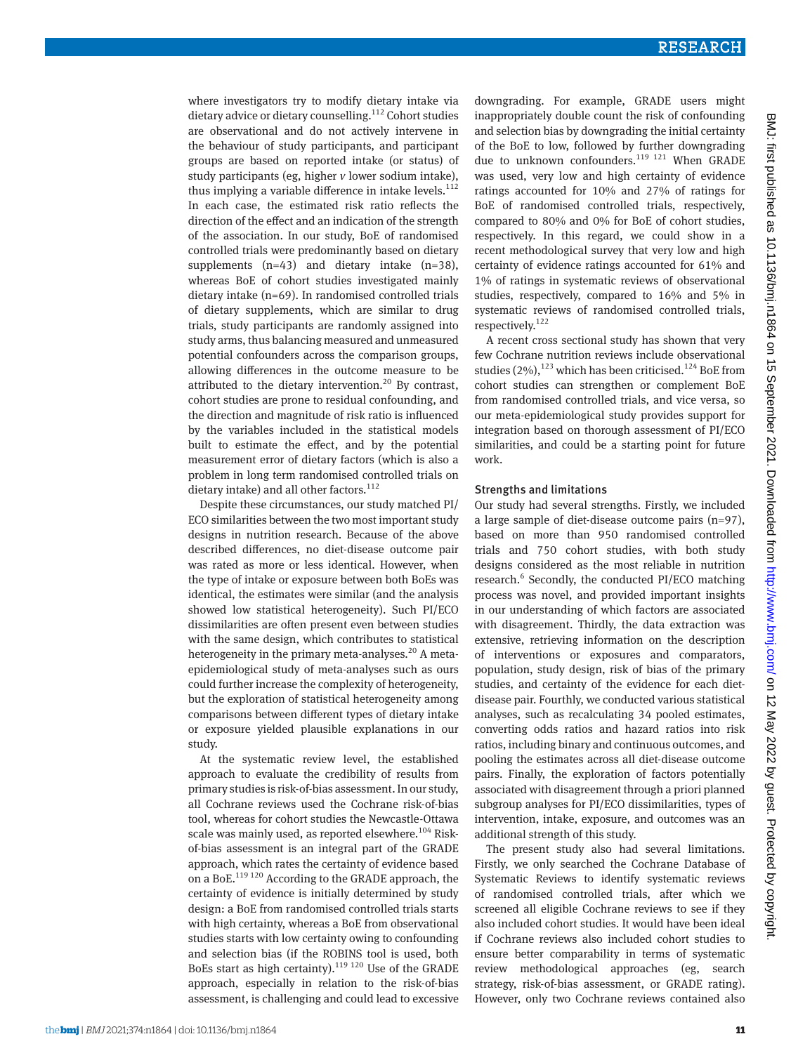where investigators try to modify dietary intake via dietary advice or dietary counselling.112 Cohort studies are observational and do not actively intervene in the behaviour of study participants, and participant groups are based on reported intake (or status) of study participants (eg, higher *v* lower sodium intake), thus implying a variable difference in intake levels. $112$ In each case, the estimated risk ratio reflects the direction of the effect and an indication of the strength of the association. In our study, BoE of randomised controlled trials were predominantly based on dietary supplements (n=43) and dietary intake (n=38), whereas BoE of cohort studies investigated mainly dietary intake (n=69). In randomised controlled trials of dietary supplements, which are similar to drug trials, study participants are randomly assigned into study arms, thus balancing measured and unmeasured potential confounders across the comparison groups, allowing differences in the outcome measure to be attributed to the dietary intervention.<sup>20</sup> By contrast, cohort studies are prone to residual confounding, and the direction and magnitude of risk ratio is influenced by the variables included in the statistical models built to estimate the effect, and by the potential measurement error of dietary factors (which is also a problem in long term randomised controlled trials on dietary intake) and all other factors.<sup>112</sup>

Despite these circumstances, our study matched PI/ ECO similarities between the two most important study designs in nutrition research. Because of the above described differences, no diet-disease outcome pair was rated as more or less identical. However, when the type of intake or exposure between both BoEs was identical, the estimates were similar (and the analysis showed low statistical heterogeneity). Such PI/ECO dissimilarities are often present even between studies with the same design, which contributes to statistical heterogeneity in the primary meta-analyses.<sup>20</sup> A metaepidemiological study of meta-analyses such as ours could further increase the complexity of heterogeneity, but the exploration of statistical heterogeneity among comparisons between different types of dietary intake or exposure yielded plausible explanations in our study.

At the systematic review level, the established approach to evaluate the credibility of results from primary studies is risk-of-bias assessment. In our study, all Cochrane reviews used the Cochrane risk-of-bias tool, whereas for cohort studies the Newcastle-Ottawa scale was mainly used, as reported elsewhere.<sup>104</sup> Riskof-bias assessment is an integral part of the GRADE approach, which rates the certainty of evidence based on a BoE.119 120 According to the GRADE approach, the certainty of evidence is initially determined by study design: a BoE from randomised controlled trials starts with high certainty, whereas a BoE from observational studies starts with low certainty owing to confounding and selection bias (if the ROBINS tool is used, both BoEs start as high certainty).<sup>119 120</sup> Use of the GRADE approach, especially in relation to the risk-of-bias assessment, is challenging and could lead to excessive

downgrading. For example, GRADE users might inappropriately double count the risk of confounding and selection bias by downgrading the initial certainty of the BoE to low, followed by further downgrading due to unknown confounders.<sup>119 121</sup> When GRADE was used, very low and high certainty of evidence ratings accounted for 10% and 27% of ratings for BoE of randomised controlled trials, respectively, compared to 80% and 0% for BoE of cohort studies, respectively. In this regard, we could show in a recent methodological survey that very low and high certainty of evidence ratings accounted for 61% and 1% of ratings in systematic reviews of observational studies, respectively, compared to 16% and 5% in systematic reviews of randomised controlled trials, respectively.<sup>122</sup> A recent cross sectional study has shown that very

few Cochrane nutrition reviews include observational studies  $(2\%)$ ,  $^{123}$  which has been criticised.<sup>124</sup> BoE from cohort studies can strengthen or complement BoE from randomised controlled trials, and vice versa, so our meta-epidemiological study provides support for integration based on thorough assessment of PI/ECO similarities, and could be a starting point for future work.

#### Strengths and limitations

Our study had several strengths. Firstly, we included a large sample of diet-disease outcome pairs (n=97), based on more than 950 randomised controlled trials and 750 cohort studies, with both study designs considered as the most reliable in nutrition research.<sup>6</sup> Secondly, the conducted PI/ECO matching process was novel, and provided important insights in our understanding of which factors are associated with disagreement. Thirdly, the data extraction was extensive, retrieving information on the description of interventions or exposures and comparators, population, study design, risk of bias of the primary studies, and certainty of the evidence for each dietdisease pair. Fourthly, we conducted various statistical analyses, such as recalculating 34 pooled estimates, converting odds ratios and hazard ratios into risk ratios, including binary and continuous outcomes, and pooling the estimates across all diet-disease outcome pairs. Finally, the exploration of factors potentially associated with disagreement through a priori planned subgroup analyses for PI/ECO dissimilarities, types of intervention, intake, exposure, and outcomes was an additional strength of this study.

The present study also had several limitations. Firstly, we only searched the Cochrane Database of Systematic Reviews to identify systematic reviews of randomised controlled trials, after which we screened all eligible Cochrane reviews to see if they also included cohort studies. It would have been ideal if Cochrane reviews also included cohort studies to ensure better comparability in terms of systematic review methodological approaches (eg, search strategy, risk-of-bias assessment, or GRADE rating). However, only two Cochrane reviews contained also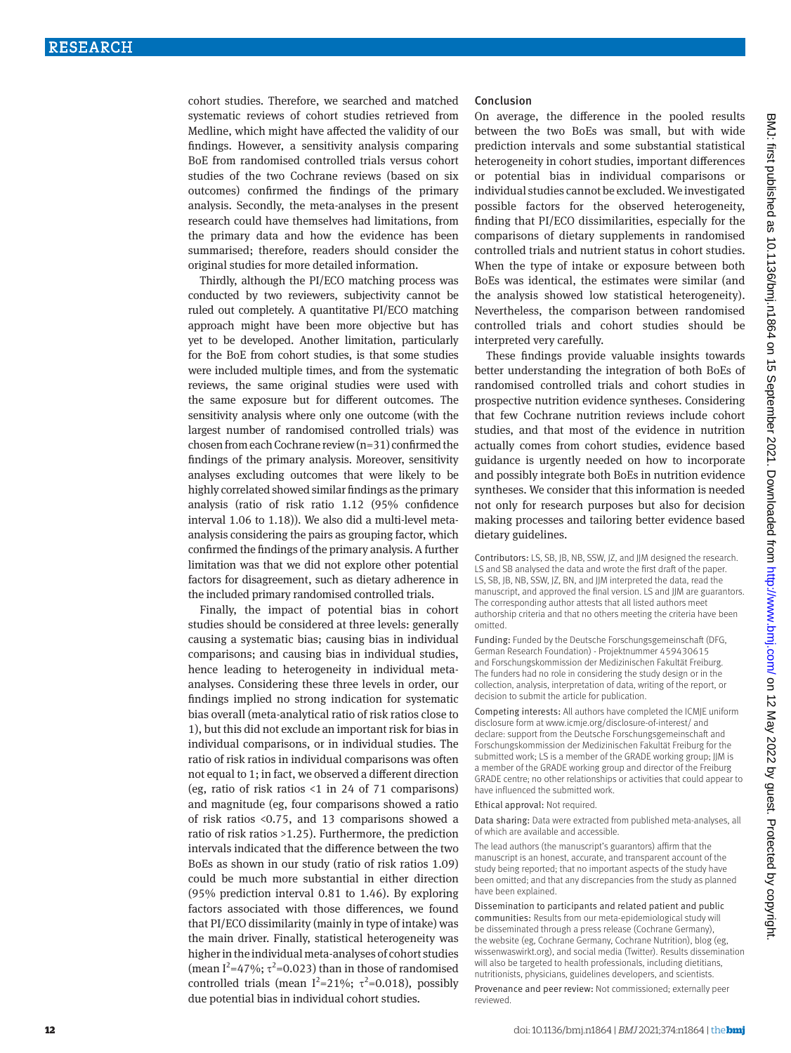cohort studies. Therefore, we searched and matched systematic reviews of cohort studies retrieved from Medline, which might have affected the validity of our findings. However, a sensitivity analysis comparing BoE from randomised controlled trials versus cohort studies of the two Cochrane reviews (based on six outcomes) confirmed the findings of the primary analysis. Secondly, the meta-analyses in the present research could have themselves had limitations, from the primary data and how the evidence has been summarised; therefore, readers should consider the original studies for more detailed information.

Thirdly, although the PI/ECO matching process was conducted by two reviewers, subjectivity cannot be ruled out completely. A quantitative PI/ECO matching approach might have been more objective but has yet to be developed. Another limitation, particularly for the BoE from cohort studies, is that some studies were included multiple times, and from the systematic reviews, the same original studies were used with the same exposure but for different outcomes. The sensitivity analysis where only one outcome (with the largest number of randomised controlled trials) was chosen from each Cochrane review (n=31) confirmed the findings of the primary analysis. Moreover, sensitivity analyses excluding outcomes that were likely to be highly correlated showed similar findings as the primary analysis (ratio of risk ratio 1.12 (95% confidence interval 1.06 to 1.18)). We also did a multi-level metaanalysis considering the pairs as grouping factor, which confirmed the findings of the primary analysis. A further limitation was that we did not explore other potential factors for disagreement, such as dietary adherence in the included primary randomised controlled trials.

Finally, the impact of potential bias in cohort studies should be considered at three levels: generally causing a systematic bias; causing bias in individual comparisons; and causing bias in individual studies, hence leading to heterogeneity in individual metaanalyses. Considering these three levels in order, our findings implied no strong indication for systematic bias overall (meta-analytical ratio of risk ratios close to 1), but this did not exclude an important risk for bias in individual comparisons, or in individual studies. The ratio of risk ratios in individual comparisons was often not equal to 1; in fact, we observed a different direction (eg, ratio of risk ratios <1 in 24 of 71 comparisons) and magnitude (eg, four comparisons showed a ratio of risk ratios <0.75, and 13 comparisons showed a ratio of risk ratios >1.25). Furthermore, the prediction intervals indicated that the difference between the two BoEs as shown in our study (ratio of risk ratios 1.09) could be much more substantial in either direction (95% prediction interval 0.81 to 1.46). By exploring factors associated with those differences, we found that PI/ECO dissimilarity (mainly in type of intake) was the main driver. Finally, statistical heterogeneity was higher in the individual meta-analyses of cohort studies (mean  $I^2$ =47%;  $\tau^2$ =0.023) than in those of randomised controlled trials (mean  $I^2=21\%$ ;  $\tau^2=0.018$ ), possibly due potential bias in individual cohort studies.

#### Conclusion

On average, the difference in the pooled results between the two BoEs was small, but with wide prediction intervals and some substantial statistical heterogeneity in cohort studies, important differences or potential bias in individual comparisons or individual studies cannot be excluded. We investigated possible factors for the observed heterogeneity, finding that PI/ECO dissimilarities, especially for the comparisons of dietary supplements in randomised controlled trials and nutrient status in cohort studies. When the type of intake or exposure between both BoEs was identical, the estimates were similar (and the analysis showed low statistical heterogeneity). Nevertheless, the comparison between randomised controlled trials and cohort studies should be interpreted very carefully.

These findings provide valuable insights towards better understanding the integration of both BoEs of randomised controlled trials and cohort studies in prospective nutrition evidence syntheses. Considering that few Cochrane nutrition reviews include cohort studies, and that most of the evidence in nutrition actually comes from cohort studies, evidence based guidance is urgently needed on how to incorporate and possibly integrate both BoEs in nutrition evidence syntheses. We consider that this information is needed not only for research purposes but also for decision making processes and tailoring better evidence based dietary guidelines.

Contributors: LS, SB, JB, NB, SSW, JZ, and JJM designed the research. LS and SB analysed the data and wrote the first draft of the paper. LS, SB, JB, NB, SSW, JZ, BN, and JJM interpreted the data, read the manuscript, and approved the final version. LS and JJM are guarantors. The corresponding author attests that all listed authors meet authorship criteria and that no others meeting the criteria have been omitted.

Funding: Funded by the Deutsche Forschungsgemeinschaft (DFG, German Research Foundation) - Projektnummer 459430615 and Forschungskommission der Medizinischen Fakultät Freiburg. The funders had no role in considering the study design or in the collection, analysis, interpretation of data, writing of the report, or decision to submit the article for publication.

Competing interests: All authors have completed the ICMJE uniform disclosure form at [www.icmje.org/disclosure-of-interest/](http://www.icmje.org/disclosure-of-interest/) and declare: support from the Deutsche Forschungsgemeinschaft and Forschungskommission der Medizinischen Fakultät Freiburg for the submitted work; LS is a member of the GRADE working group; JJM is a member of the GRADE working group and director of the Freiburg GRADE centre; no other relationships or activities that could appear to have influenced the submitted work.

Ethical approval: Not required.

Data sharing: Data were extracted from published meta-analyses, all of which are available and accessible.

The lead authors (the manuscript's guarantors) affirm that the manuscript is an honest, accurate, and transparent account of the study being reported; that no important aspects of the study have been omitted; and that any discrepancies from the study as planned have been explained.

Dissemination to participants and related patient and public communities: Results from our meta-epidemiological study will be disseminated through a press release (Cochrane Germany), the website (eg, Cochrane Germany, Cochrane Nutrition), blog (eg, wissenwaswirkt.org), and social media (Twitter). Results dissemination will also be targeted to health professionals, including dietitians, nutritionists, physicians, guidelines developers, and scientists.

Provenance and peer review: Not commissioned; externally peer reviewed.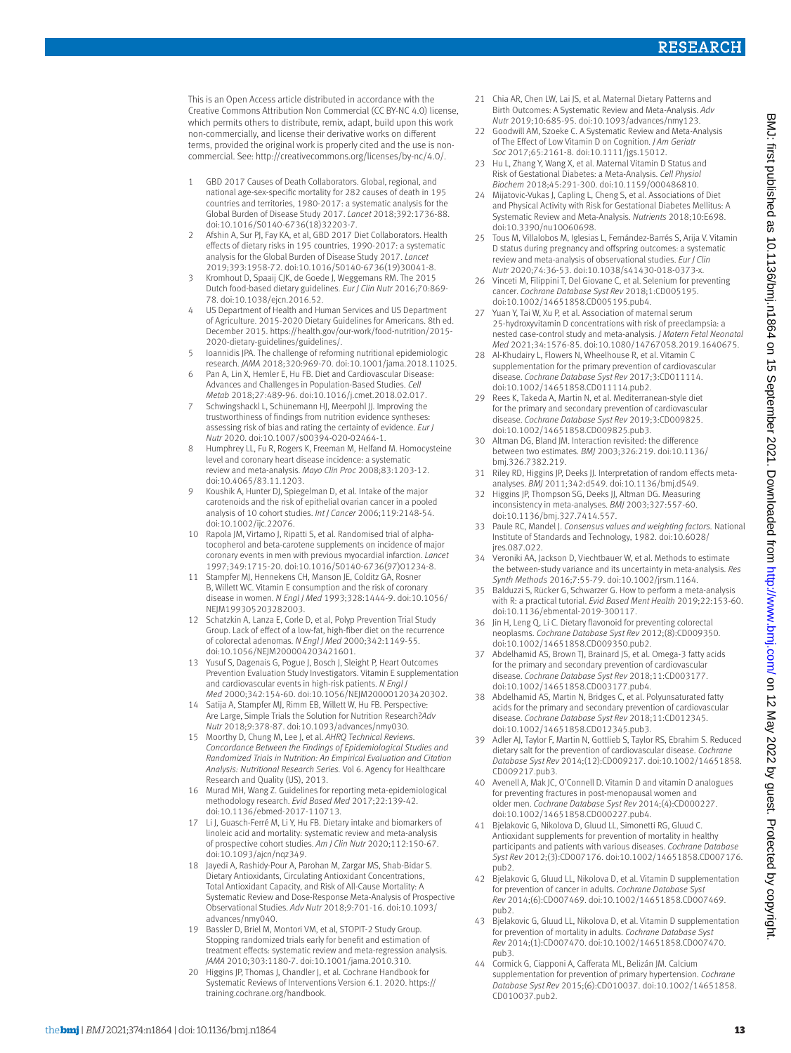This is an Open Access article distributed in accordance with the Creative Commons Attribution Non Commercial (CC BY-NC 4.0) license, which permits others to distribute, remix, adapt, build upon this work non-commercially, and license their derivative works on different terms, provided the original work is properly cited and the use is noncommercial. See: [http://creativecommons.org/licenses/by-nc/4.0/.](http://creativecommons.org/licenses/by-nc/4.0/)

- 1 GBD 2017 Causes of Death Collaborators. Global, regional, and national age-sex-specific mortality for 282 causes of death in 195 countries and territories, 1980-2017: a systematic analysis for the Global Burden of Disease Study 2017. *Lancet* 2018;392:1736-88. doi:10.1016/S0140-6736(18)32203-7.
- Afshin A, Sur PJ, Fay KA, et al, GBD 2017 Diet Collaborators. Health effects of dietary risks in 195 countries, 1990-2017: a systematic analysis for the Global Burden of Disease Study 2017. *Lancet*  2019;393:1958-72. doi:10.1016/S0140-6736(19)30041-8.
- 3 Kromhout D, Spaaij CJK, de Goede J, Weggemans RM. The 2015 Dutch food-based dietary guidelines. *Eur J Clin Nutr* 2016;70:869- 78. doi:10.1038/ejcn.2016.52.
- 4 US Department of Health and Human Services and US Department of Agriculture. 2015-2020 Dietary Guidelines for Americans. 8th ed. December 2015. [https://health.gov/our-work/food-nutrition/2015-](https://health.gov/our-work/food-nutrition/2015-2020-dietary-guidelines/guidelines/) [2020-dietary-guidelines/guidelines/](https://health.gov/our-work/food-nutrition/2015-2020-dietary-guidelines/guidelines/).
- 5 Ioannidis JPA. The challenge of reforming nutritional epidemiologic research. *JAMA* 2018;320:969-70. doi:10.1001/jama.2018.11025.
- 6 Pan A, Lin X, Hemler E, Hu FB. Diet and Cardiovascular Disease: Advances and Challenges in Population-Based Studies. *Cell Metab* 2018;27:489-96. doi:10.1016/j.cmet.2018.02.017.
- Schwingshackl L, Schünemann HJ, Meerpohl JJ. Improving the trustworthiness of findings from nutrition evidence syntheses: assessing risk of bias and rating the certainty of evidence. *Eur J Nutr* 2020. doi:10.1007/s00394-020-02464-1.
- 8 Humphrey LL, Fu R, Rogers K, Freeman M, Helfand M. Homocysteine level and coronary heart disease incidence: a systematic review and meta-analysis. *Mayo Clin Proc* 2008;83:1203-12. doi:10.4065/83.11.1203.
- 9 Koushik A, Hunter DJ, Spiegelman D, et al. Intake of the major carotenoids and the risk of epithelial ovarian cancer in a pooled analysis of 10 cohort studies. *Int J Cancer* 2006;119:2148-54. doi:10.1002/ijc.22076.
- 10 Rapola JM, Virtamo J, Ripatti S, et al. Randomised trial of alphatocopherol and beta-carotene supplements on incidence of major coronary events in men with previous myocardial infarction. *Lancet*  1997;349:1715-20. doi:10.1016/S0140-6736(97)01234-8.
- 11 Stampfer MJ, Hennekens CH, Manson JE, Colditz GA, Rosner B, Willett WC. Vitamin E consumption and the risk of coronary disease in women. *N Engl J Med* 1993;328:1444-9. doi:10.1056/ NEJM199305203282003.
- 12 Schatzkin A, Lanza E, Corle D, et al, Polyp Prevention Trial Study Group. Lack of effect of a low-fat, high-fiber diet on the recurrence of colorectal adenomas. *N Engl J Med* 2000;342:1149-55. doi:10.1056/NEJM200004203421601.
- 13 Yusuf S, Dagenais G, Pogue J, Bosch J, Sleight P, Heart Outcomes Prevention Evaluation Study Investigators. Vitamin E supplementation and cardiovascular events in high-risk patients. *N Engl J Med* 2000;342:154-60. doi:10.1056/NEJM200001203420302.
- 14 Satija A, Stampfer MJ, Rimm EB, Willett W, Hu FB. Perspective: Are Large, Simple Trials the Solution for Nutrition Research?*Adv Nutr* 2018;9:378-87. doi:10.1093/advances/nmy030.
- 15 Moorthy D, Chung M, Lee J, et al. *AHRQ Technical Reviews. Concordance Between the Findings of Epidemiological Studies and Randomized Trials in Nutrition: An Empirical Evaluation and Citation Analysis: Nutritional Research Series.* Vol 6. Agency for Healthcare Research and Quality (US), 2013.
- 16 Murad MH, Wang Z. Guidelines for reporting meta-epidemiological methodology research. *Evid Based Med* 2017;22:139-42. doi:10.1136/ebmed-2017-110713.
- 17 Li J, Guasch-Ferré M, Li Y, Hu FB. Dietary intake and biomarkers of linoleic acid and mortality: systematic review and meta-analysis of prospective cohort studies. *Am J Clin Nutr* 2020;112:150-67. doi:10.1093/ajcn/nqz349.
- 18 Jayedi A, Rashidy-Pour A, Parohan M, Zargar MS, Shab-Bidar S. Dietary Antioxidants, Circulating Antioxidant Concentrations, Total Antioxidant Capacity, and Risk of All-Cause Mortality: A Systematic Review and Dose-Response Meta-Analysis of Prospective Observational Studies. *Adv Nutr* 2018;9:701-16. doi:10.1093/ advances/nmy040.
- 19 Bassler D, Briel M, Montori VM, et al, STOPIT-2 Study Group. Stopping randomized trials early for benefit and estimation of treatment effects: systematic review and meta-regression analysis. *JAMA* 2010;303:1180-7. doi:10.1001/jama.2010.310.
- 20 Higgins JP, Thomas J, Chandler J, et al. Cochrane Handbook for Systematic Reviews of Interventions Version 6.1. 2020. [https://](https://training.cochrane.org/handbook) [training.cochrane.org/handbook](https://training.cochrane.org/handbook).
- 21 Chia AR, Chen LW, Lai JS, et al. Maternal Dietary Patterns and Birth Outcomes: A Systematic Review and Meta-Analysis. *Adv Nutr* 2019;10:685-95. doi:10.1093/advances/nmy123.
- 22 Goodwill AM, Szoeke C. A Systematic Review and Meta-Analysis of The Effect of Low Vitamin D on Cognition. *J Am Geriatr Soc* 2017;65:2161-8. doi:10.1111/jgs.15012.
- 23 Hu L, Zhang Y, Wang X, et al. Maternal Vitamin D Status and Risk of Gestational Diabetes: a Meta-Analysis. *Cell Physiol Biochem* 2018;45:291-300. doi:10.1159/000486810.
- 24 Mijatovic-Vukas J, Capling L, Cheng S, et al. Associations of Diet and Physical Activity with Risk for Gestational Diabetes Mellitus: A Systematic Review and Meta-Analysis. *Nutrients* 2018;10:E698. doi:10.3390/nu10060698.
- 25 Tous M, Villalobos M, Iglesias L, Fernández-Barrés S, Arija V. Vitamin D status during pregnancy and offspring outcomes: a systematic review and meta-analysis of observational studies. *Eur J Clin Nutr* 2020;74:36-53. doi:10.1038/s41430-018-0373-x.
- 26 Vinceti M, Filippini T, Del Giovane C, et al. Selenium for preventing cancer. *Cochrane Database Syst Rev* 2018;1:CD005195. doi:10.1002/14651858.CD005195.pub4.
- 27 Yuan Y, Tai W, Xu P, et al. Association of maternal serum 25-hydroxyvitamin D concentrations with risk of preeclampsia: a nested case-control study and meta-analysis. *J Matern Fetal Neonatal Med* 2021;34:1576-85. doi:10.1080/14767058.2019.1640675.
- 28 Al-Khudairy L, Flowers N, Wheelhouse R, et al. Vitamin C. supplementation for the primary prevention of cardiovascular disease. *Cochrane Database Syst Rev* 2017;3:CD011114. doi:10.1002/14651858.CD011114.pub2.
- 29 Rees K, Takeda A, Martin N, et al. Mediterranean-style diet for the primary and secondary prevention of cardiovascular disease. *Cochrane Database Syst Rev* 2019;3:CD009825. doi:10.1002/14651858.CD009825.pub3.
- Altman DG, Bland JM. Interaction revisited: the difference between two estimates. *BMJ* 2003;326:219. doi:10.1136/ bmj.326.7382.219.
- 31 Riley RD, Higgins JP, Deeks JJ. Interpretation of random effects metaanalyses. *BMJ* 2011;342:d549. doi:10.1136/bmj.d549.
- 32 Higgins JP, Thompson SG, Deeks JJ, Altman DG. Measuring inconsistency in meta-analyses. *BMJ* 2003;327:557-60. doi:10.1136/bmj.327.7414.557.
- 33 Paule RC, Mandel J. *Consensus values and weighting factors.* National Institute of Standards and Technology, 1982. doi:10.6028/ ires.087.022.
- 34 Veroniki AA, Jackson D, Viechtbauer W, et al. Methods to estimate the between-study variance and its uncertainty in meta-analysis. *Res Synth Methods* 2016;7:55-79. doi:10.1002/jrsm.1164.
- 35 Balduzzi S, Rücker G, Schwarzer G. How to perform a meta-analysis with R: a practical tutorial. *Evid Based Ment Health* 2019;22:153-60. doi:10.1136/ebmental-2019-300117.
- 36 Jin H, Leng Q, Li C. Dietary flavonoid for preventing colorectal neoplasms. *Cochrane Database Syst Rev* 2012;(8):CD009350. doi:10.1002/14651858.CD009350.pub2.
- 37 Abdelhamid AS, Brown TJ, Brainard JS, et al. Omega-3 fatty acids for the primary and secondary prevention of cardiovascular disease. *Cochrane Database Syst Rev* 2018;11:CD003177. doi:10.1002/14651858.CD003177.pub4.
- 38 Abdelhamid AS, Martin N, Bridges C, et al. Polyunsaturated fatty acids for the primary and secondary prevention of cardiovascular disease. *Cochrane Database Syst Rev* 2018;11:CD012345. doi:10.1002/14651858.CD012345.pub3.
- Adler AJ, Taylor F, Martin N, Gottlieb S, Taylor RS, Ebrahim S. Reduced dietary salt for the prevention of cardiovascular disease. *Cochrane Database Syst Rev* 2014;(12):CD009217. doi:10.1002/14651858. CD009217.pub3.
- Avenell A, Mak JC, O'Connell D. Vitamin D and vitamin D analogues for preventing fractures in post-menopausal women and older men. *Cochrane Database Syst Rev* 2014;(4):CD000227. doi:10.1002/14651858.CD000227.pub4.
- 41 Bjelakovic G, Nikolova D, Gluud LL, Simonetti RG, Gluud C. Antioxidant supplements for prevention of mortality in healthy participants and patients with various diseases. *Cochrane Database Syst Rev* 2012;(3):CD007176. doi:10.1002/14651858.CD007176. pub2.
- 42 Bjelakovic G, Gluud LL, Nikolova D, et al. Vitamin D supplementation for prevention of cancer in adults. *Cochrane Database Syst Rev* 2014;(6):CD007469. doi:10.1002/14651858.CD007469. pub2.
- 43 Bjelakovic G, Gluud LL, Nikolova D, et al. Vitamin D supplementation for prevention of mortality in adults. *Cochrane Database Syst Rev* 2014;(1):CD007470. doi:10.1002/14651858.CD007470. pub3.
- 44 Cormick G, Ciapponi A, Cafferata ML, Belizán JM. Calcium supplementation for prevention of primary hypertension. *Cochrane Database Syst Rev* 2015;(6):CD010037. doi:10.1002/14651858. CD010037.pub2.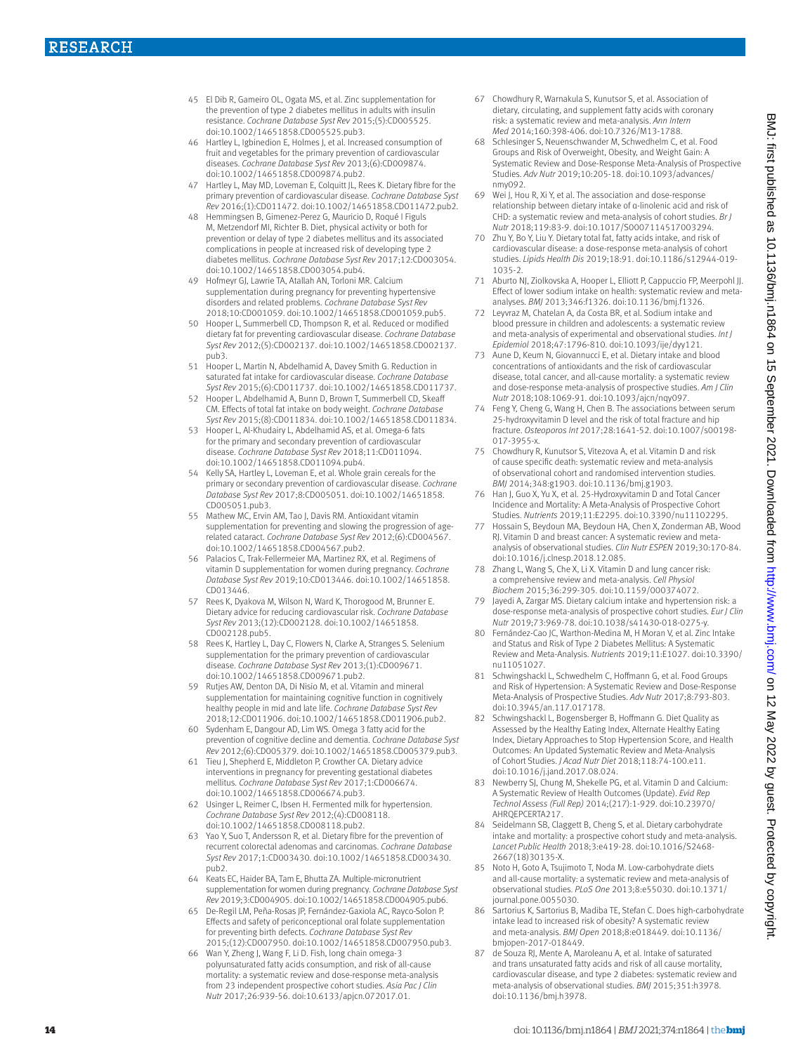- 45 El Dib R, Gameiro OL, Ogata MS, et al. Zinc supplementation for the prevention of type 2 diabetes mellitus in adults with insulin resistance. *Cochrane Database Syst Rev* 2015;(5):CD005525. doi:10.1002/14651858.CD005525.pub3.
- 46 Hartley L, Igbinedion E, Holmes J, et al. Increased consumption of fruit and vegetables for the primary prevention of cardiovascular diseases. *Cochrane Database Syst Rev* 2013;(6):CD009874. doi:10.1002/14651858.CD009874.pub2.
- 47 Hartley L, May MD, Loveman E, Colquitt JL, Rees K. Dietary fibre for the primary prevention of cardiovascular disease. *Cochrane Database Syst Rev* 2016;(1):CD011472. doi:10.1002/14651858.CD011472.pub2.
- 48 Hemmingsen B, Gimenez-Perez G, Mauricio D, Roqué I Figuls M, Metzendorf MI, Richter B. Diet, physical activity or both for prevention or delay of type 2 diabetes mellitus and its associated complications in people at increased risk of developing type 2 diabetes mellitus. *Cochrane Database Syst Rev* 2017;12:CD003054. doi:10.1002/14651858.CD003054.pub4.
- 49 Hofmeyr GJ, Lawrie TA, Atallah AN, Torloni MR. Calcium supplementation during pregnancy for preventing hypertensive disorders and related problems. *Cochrane Database Syst Rev*  2018;10:CD001059. doi:10.1002/14651858.CD001059.pub5.
- 50 Hooper L, Summerbell CD, Thompson R, et al. Reduced or modified dietary fat for preventing cardiovascular disease. *Cochrane Database Syst Rev* 2012;(5):CD002137. doi:10.1002/14651858.CD002137. pub3.
- 51 Hooper L, Martin N, Abdelhamid A, Davey Smith G. Reduction in saturated fat intake for cardiovascular disease. *Cochrane Database Syst Rev* 2015;(6):CD011737. doi:10.1002/14651858.CD011737.
- 52 Hooper L, Abdelhamid A, Bunn D, Brown T, Summerbell CD, Skeaff CM. Effects of total fat intake on body weight. *Cochrane Database Syst Rev* 2015;(8):CD011834. doi:10.1002/14651858.CD011834.
- 53 Hooper L, Al-Khudairy L, Abdelhamid AS, et al. Omega-6 fats for the primary and secondary prevention of cardiovascular disease. *Cochrane Database Syst Rev* 2018;11:CD011094. doi:10.1002/14651858.CD011094.pub4.
- Kelly SA, Hartley L, Loveman E, et al. Whole grain cereals for the primary or secondary prevention of cardiovascular disease. *Cochrane Database Syst Rev* 2017;8:CD005051. doi:10.1002/14651858. CD005051.pub3.
- 55 Mathew MC, Ervin AM, Tao J, Davis RM. Antioxidant vitamin supplementation for preventing and slowing the progression of agerelated cataract. *Cochrane Database Syst Rev* 2012;(6):CD004567. doi:10.1002/14651858.CD004567.pub2.
- 56 Palacios C, Trak-Fellermeier MA, Martinez RX, et al. Regimens of vitamin D supplementation for women during pregnancy. *Cochrane Database Syst Rev* 2019;10:CD013446. doi:10.1002/14651858. CD013446.
- 57 Rees K, Dyakova M, Wilson N, Ward K, Thorogood M, Brunner E. Dietary advice for reducing cardiovascular risk. *Cochrane Database Syst Rev* 2013;(12):CD002128. doi:10.1002/14651858. CD002128.pub5.
- 58 Rees K, Hartley L, Day C, Flowers N, Clarke A, Stranges S. Selenium supplementation for the primary prevention of cardiovascular disease. *Cochrane Database Syst Rev* 2013;(1):CD009671. doi:10.1002/14651858.CD009671.pub2.
- 59 Rutjes AW, Denton DA, Di Nisio M, et al. Vitamin and mineral supplementation for maintaining cognitive function in cognitively healthy people in mid and late life. *Cochrane Database Syst Rev*  2018;12:CD011906. doi:10.1002/14651858.CD011906.pub2.
- 60 Sydenham E, Dangour AD, Lim WS. Omega 3 fatty acid for the prevention of cognitive decline and dementia. *Cochrane Database Syst Rev* 2012;(6):CD005379. doi:10.1002/14651858.CD005379.pub3.
- 61 Tieu J, Shepherd E, Middleton P, Crowther CA. Dietary advice interventions in pregnancy for preventing gestational diabetes mellitus. *Cochrane Database Syst Rev* 2017;1:CD006674. doi:10.1002/14651858.CD006674.pub3.
- 62 Usinger L, Reimer C, Ibsen H. Fermented milk for hypertension. *Cochrane Database Syst Rev* 2012;(4):CD008118. doi:10.1002/14651858.CD008118.pub2.
- 63 Yao Y, Suo T, Andersson R, et al. Dietary fibre for the prevention of recurrent colorectal adenomas and carcinomas. *Cochrane Database Syst Rev* 2017;1:CD003430. doi:10.1002/14651858.CD003430. pub2.
- 64 Keats EC, Haider BA, Tam E, Bhutta ZA. Multiple-micronutrient supplementation for women during pregnancy. *Cochrane Database Syst Rev* 2019;3:CD004905. doi:10.1002/14651858.CD004905.pub6.
- 65 De-Regil LM, Peña-Rosas JP, Fernández-Gaxiola AC, Rayco-Solon P. Effects and safety of periconceptional oral folate supplementation for preventing birth defects. *Cochrane Database Syst Rev*  2015;(12):CD007950. doi:10.1002/14651858.CD007950.pub3.
- 66 Wan Y, Zheng J, Wang F, Li D. Fish, long chain omega-3 polyunsaturated fatty acids consumption, and risk of all-cause mortality: a systematic review and dose-response meta-analysis from 23 independent prospective cohort studies. *Asia Pac J Clin Nutr* 2017;26:939-56. doi:10.6133/apjcn.072017.01.
- 67 Chowdhury R, Warnakula S, Kunutsor S, et al. Association of dietary, circulating, and supplement fatty acids with coronary risk: a systematic review and meta-analysis. *Ann Intern Med* 2014;160:398-406. doi:10.7326/M13-1788.
- 68 Schlesinger S, Neuenschwander M, Schwedhelm C, et al. Food Groups and Risk of Overweight, Obesity, and Weight Gain: A Systematic Review and Dose-Response Meta-Analysis of Prospective Studies. *Adv Nutr* 2019;10:205-18. doi:10.1093/advances/ nmy092.
- 69 Wei J, Hou R, Xi Y, et al. The association and dose-response relationship between dietary intake of α-linolenic acid and risk of CHD: a systematic review and meta-analysis of cohort studies. *Br J Nutr* 2018;119:83-9. doi:10.1017/S0007114517003294.
- 70 Zhu Y, Bo Y, Liu Y. Dietary total fat, fatty acids intake, and risk of cardiovascular disease: a dose-response meta-analysis of cohort studies. *Lipids Health Dis* 2019;18:91. doi:10.1186/s12944-019- 1035-2.
- 71 Aburto NJ, Ziolkovska A, Hooper L, Elliott P, Cappuccio FP, Meerpohl JJ. Effect of lower sodium intake on health: systematic review and metaanalyses. *BMJ* 2013;346:f1326. doi:10.1136/bmj.f1326.
- 72 Leyvraz M, Chatelan A, da Costa BR, et al. Sodium intake and blood pressure in children and adolescents: a systematic review and meta-analysis of experimental and observational studies. *Int J Epidemiol* 2018;47:1796-810. doi:10.1093/ije/dyy121.
- 73 Aune D, Keum N, Giovannucci E, et al. Dietary intake and blood concentrations of antioxidants and the risk of cardiovascular disease, total cancer, and all-cause mortality: a systematic review and dose-response meta-analysis of prospective studies. *Am J Clin Nutr* 2018;108:1069-91. doi:10.1093/ajcn/nqy097.
- 74 Feng Y, Cheng G, Wang H, Chen B. The associations between serum 25-hydroxyvitamin D level and the risk of total fracture and hip fracture. *Osteoporos Int* 2017;28:1641-52. doi:10.1007/s00198- 017-3955-x.
- 75 Chowdhury R, Kunutsor S, Vitezova A, et al. Vitamin D and risk of cause specific death: systematic review and meta-analysis of observational cohort and randomised intervention studies. *BMJ* 2014;348:g1903. doi:10.1136/bmj.g1903.
- 76 Han J, Guo X, Yu X, et al. 25-Hydroxyvitamin D and Total Cancer Incidence and Mortality: A Meta-Analysis of Prospective Cohort Studies. *Nutrients* 2019;11:E2295. doi:10.3390/nu11102295.
- Hossain S, Beydoun MA, Beydoun HA, Chen X, Zonderman AB, Wood RJ. Vitamin D and breast cancer: A systematic review and metaanalysis of observational studies. *Clin Nutr ESPEN* 2019;30:170-84. doi:10.1016/j.clnesp.2018.12.085.
- 78 Zhang L, Wang S, Che X, Li X. Vitamin D and lung cancer risk: a comprehensive review and meta-analysis. *Cell Physiol Biochem* 2015;36:299-305. doi:10.1159/000374072.
- 79 Jayedi A, Zargar MS. Dietary calcium intake and hypertension risk: a dose-response meta-analysis of prospective cohort studies. *Eur J Clin Nutr* 2019;73:969-78. doi:10.1038/s41430-018-0275-y.
- 80 Fernández-Cao JC, Warthon-Medina M, H Moran V, et al. Zinc Intake and Status and Risk of Type 2 Diabetes Mellitus: A Systematic Review and Meta-Analysis. *Nutrients* 2019;11:E1027. doi:10.3390/ nu11051027.
- 81 Schwingshackl L, Schwedhelm C, Hoffmann G, et al. Food Groups and Risk of Hypertension: A Systematic Review and Dose-Response Meta-Analysis of Prospective Studies. *Adv Nutr* 2017;8:793-803. doi:10.3945/an.117.017178.
- 82 Schwingshackl L, Bogensberger B, Hoffmann G. Diet Quality as Assessed by the Healthy Eating Index, Alternate Healthy Eating Index, Dietary Approaches to Stop Hypertension Score, and Health Outcomes: An Updated Systematic Review and Meta-Analysis of Cohort Studies. *J Acad Nutr Diet* 2018;118:74-100.e11. doi:10.1016/j.jand.2017.08.024.
- Newberry SJ, Chung M, Shekelle PG, et al. Vitamin D and Calcium: A Systematic Review of Health Outcomes (Update). *Evid Rep Technol Assess (Full Rep)* 2014;(217):1-929. doi:10.23970/ AHRQEPCERTA217.
- 84 Seidelmann SB, Claggett B, Cheng S, et al. Dietary carbohydrate intake and mortality: a prospective cohort study and meta-analysis. *Lancet Public Health* 2018;3:e419-28. doi:10.1016/S2468- 2667(18)30135-X.
- 85 Noto H, Goto A, Tsujimoto T, Noda M. Low-carbohydrate diets and all-cause mortality: a systematic review and meta-analysis of observational studies. *PLoS One* 2013;8:e55030. doi:10.1371/ journal.pone.0055030.
- 86 Sartorius K, Sartorius B, Madiba TE, Stefan C. Does high-carbohydrate intake lead to increased risk of obesity? A systematic review and meta-analysis. *BMJ Open* 2018;8:e018449. doi:10.1136/ bmjopen-2017-018449.
- 87 de Souza RJ, Mente A, Maroleanu A, et al. Intake of saturated and trans unsaturated fatty acids and risk of all cause mortality, cardiovascular disease, and type 2 diabetes: systematic review and meta-analysis of observational studies. *BMJ* 2015;351:h3978. doi:10.1136/bmj.h3978.